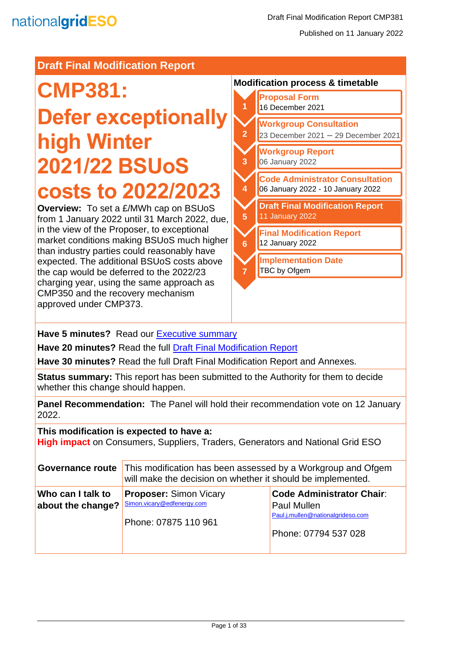#### **Draft Final Modification Report**

# **CMP381:**

# **Defer exceptionally high Winter 2021/22 BSUoS costs to 2022/2023**

**Overview:** To set a £/MWh cap on BSUoS from 1 January 2022 until 31 March 2022, due, in the view of the Proposer, to exceptional market conditions making BSUoS much higher than industry parties could reasonably have expected. The additional BSUoS costs above the cap would be deferred to the 2022/23 charging year, using the same approach as CMP350 and the recovery mechanism approved under CMP373.

#### **Modification process & timetable**



**Have 5 minutes?** Read our [Executive summary](#page-2-0)

**Have 20 minutes?** Read the full [Draft Final Modification Report](#page-4-0)

**Have 30 minutes?** Read the full Draft Final Modification Report and Annexes.

**Status summary:** This report has been submitted to the Authority for them to decide whether this change should happen.

**Panel Recommendation:** The Panel will hold their recommendation vote on 12 January 2022.

#### **This modification is expected to have a:**

**High impact** on Consumers, Suppliers, Traders, Generators and National Grid ESO

| <b>Governance route</b>                | This modification has been assessed by a Workgroup and Ofgem<br>will make the decision on whether it should be implemented. |                                                                                                                     |  |
|----------------------------------------|-----------------------------------------------------------------------------------------------------------------------------|---------------------------------------------------------------------------------------------------------------------|--|
| Who can I talk to<br>about the change? | <b>Proposer: Simon Vicary</b><br>Simon.vicary@edfenergy.com<br>Phone: 07875 110 961                                         | <b>Code Administrator Chair:</b><br><b>Paul Mullen</b><br>Paul.j.mullen@nationalgrideso.com<br>Phone: 07794 537 028 |  |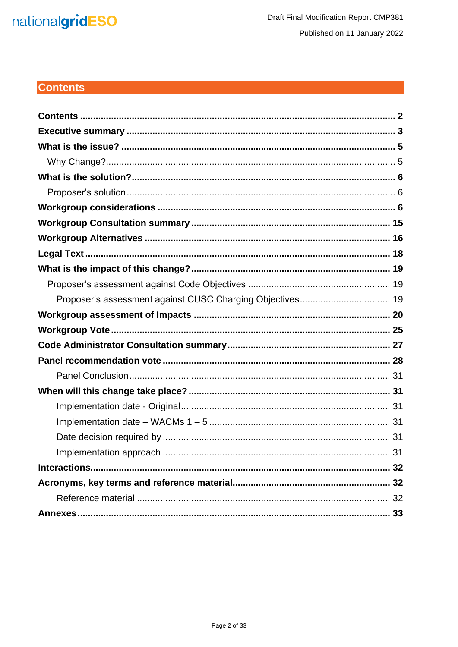## nationalgridESO

### <span id="page-1-0"></span>**Contents**

| Proposer's assessment against CUSC Charging Objectives 19 |
|-----------------------------------------------------------|
|                                                           |
|                                                           |
|                                                           |
|                                                           |
|                                                           |
|                                                           |
|                                                           |
|                                                           |
|                                                           |
|                                                           |
|                                                           |
|                                                           |
|                                                           |
|                                                           |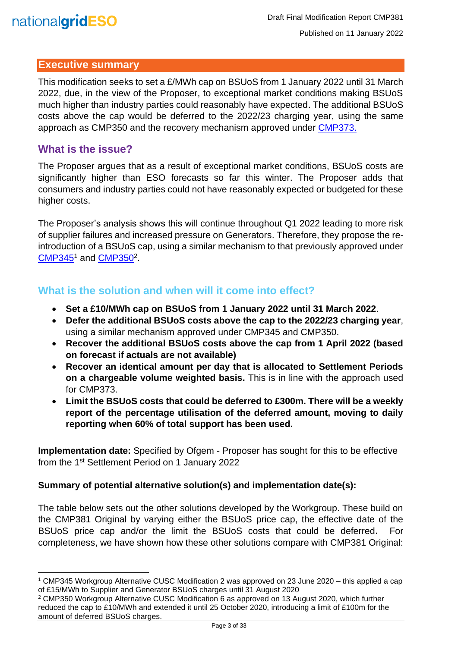

#### <span id="page-2-0"></span>**Executive summary**

This modification seeks to set a £/MWh cap on BSUoS from 1 January 2022 until 31 March 2022, due, in the view of the Proposer, to exceptional market conditions making BSUoS much higher than industry parties could reasonably have expected. The additional BSUoS costs above the cap would be deferred to the 2022/23 charging year, using the same approach as CMP350 and the recovery mechanism approved under [CMP373.](https://www.nationalgrideso.com/document/192426/download)

#### **What is the issue?**

The Proposer argues that as a result of exceptional market conditions, BSUoS costs are significantly higher than ESO forecasts so far this winter. The Proposer adds that consumers and industry parties could not have reasonably expected or budgeted for these higher costs.

The Proposer's analysis shows this will continue throughout Q1 2022 leading to more risk of supplier failures and increased pressure on Generators. Therefore, they propose the reintroduction of a BSUoS cap, using a similar mechanism to that previously approved under [CMP345](https://www.nationalgrideso.com/document/171941/download)<sup>1</sup> and [CMP350](https://www.nationalgrideso.com/document/174821/download)<sup>2</sup>.

#### **What is the solution and when will it come into effect?**

- **Set a £10/MWh cap on BSUoS from 1 January 2022 until 31 March 2022**.
- **Defer the additional BSUoS costs above the cap to the 2022/23 charging year**, using a similar mechanism approved under CMP345 and CMP350.
- **Recover the additional BSUoS costs above the cap from 1 April 2022 (based on forecast if actuals are not available)**
- **Recover an identical amount per day that is allocated to Settlement Periods on a chargeable volume weighted basis.** This is in line with the approach used for CMP373.
- **Limit the BSUoS costs that could be deferred to £300m. There will be a weekly report of the percentage utilisation of the deferred amount, moving to daily reporting when 60% of total support has been used.**

**Implementation date:** Specified by Ofgem - Proposer has sought for this to be effective from the 1<sup>st</sup> Settlement Period on 1 January 2022

#### **Summary of potential alternative solution(s) and implementation date(s):**

The table below sets out the other solutions developed by the Workgroup. These build on the CMP381 Original by varying either the BSUoS price cap, the effective date of the BSUoS price cap and/or the limit the BSUoS costs that could be deferred**.** For completeness, we have shown how these other solutions compare with CMP381 Original:

<sup>1</sup> CMP345 Workgroup Alternative CUSC Modification 2 was approved on 23 June 2020 – this applied a cap of £15/MWh to Supplier and Generator BSUoS charges until 31 August 2020

<sup>2</sup> CMP350 Workgroup Alternative CUSC Modification 6 as approved on 13 August 2020, which further reduced the cap to £10/MWh and extended it until 25 October 2020, introducing a limit of £100m for the amount of deferred BSUoS charges.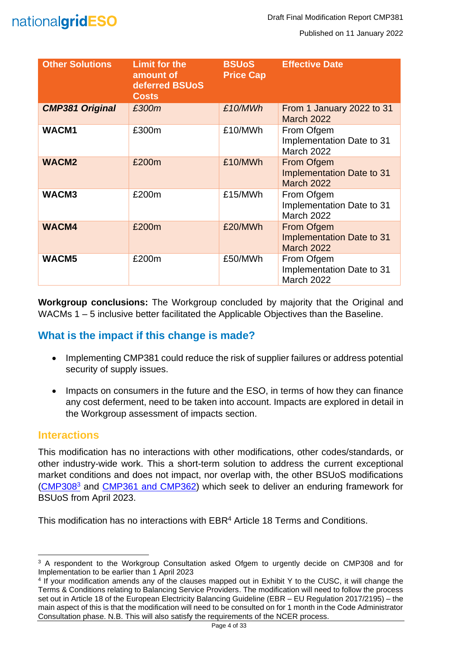

Published on 11 January 2022

| <b>Other Solutions</b> | <b>Limit for the</b><br>amount of<br>deferred BSUoS<br><b>Costs</b> | <b>BSUoS</b><br><b>Price Cap</b> | <b>Effective Date</b>                                                      |
|------------------------|---------------------------------------------------------------------|----------------------------------|----------------------------------------------------------------------------|
| <b>CMP381 Original</b> | £300m                                                               | £10/MWh                          | From 1 January 2022 to 31<br><b>March 2022</b>                             |
| WACM1                  | £300m                                                               | £10/MWh                          | From Ofgem<br>Implementation Date to 31<br><b>March 2022</b>               |
| <b>WACM2</b>           | £200m                                                               | £10/MWh                          | <b>From Ofgem</b><br><b>Implementation Date to 31</b><br><b>March 2022</b> |
| WACM3                  | £200m                                                               | £15/MWh                          | From Ofgem<br>Implementation Date to 31<br><b>March 2022</b>               |
| <b>WACM4</b>           | £200m                                                               | £20/MWh                          | <b>From Ofgem</b><br><b>Implementation Date to 31</b><br><b>March 2022</b> |
| WACM5                  | £200m                                                               | £50/MWh                          | From Ofgem<br>Implementation Date to 31<br><b>March 2022</b>               |

**Workgroup conclusions:** The Workgroup concluded by majority that the Original and WACMs 1 – 5 inclusive better facilitated the Applicable Objectives than the Baseline.

#### **What is the impact if this change is made?**

- Implementing CMP381 could reduce the risk of supplier failures or address potential security of supply issues.
- Impacts on consumers in the future and the ESO, in terms of how they can finance any cost deferment, need to be taken into account. Impacts are explored in detail in the Workgroup assessment of impacts section.

#### **Interactions**

This modification has no interactions with other modifications, other codes/standards, or other industry-wide work. This a short-term solution to address the current exceptional market conditions and does not impact, nor overlap with, the other BSUoS modifications [\(CMP308](https://www.nationalgrideso.com/industry-information/codes/connection-and-use-system-code-cusc-old/modifications/cmp308-removal)<sup>3</sup> and [CMP361 and CMP362\)](https://www.nationalgrideso.com/industry-information/codes/connection-and-use-system-code-cusc-old/modifications/cmp361-cmp362) which seek to deliver an enduring framework for BSUoS from April 2023.

This modification has no interactions with EBR<sup>4</sup> Article 18 Terms and Conditions.

<sup>&</sup>lt;sup>3</sup> A respondent to the Workgroup Consultation asked Ofgem to urgently decide on CMP308 and for Implementation to be earlier than 1 April 2023

<sup>4</sup> If your modification amends any of the clauses mapped out in Exhibit Y to the CUSC, it will change the Terms & Conditions relating to Balancing Service Providers. The modification will need to follow the process set out in Article 18 of the European Electricity Balancing Guideline (EBR – EU Regulation 2017/2195) – the main aspect of this is that the modification will need to be consulted on for 1 month in the Code Administrator Consultation phase. N.B. This will also satisfy the requirements of the NCER process.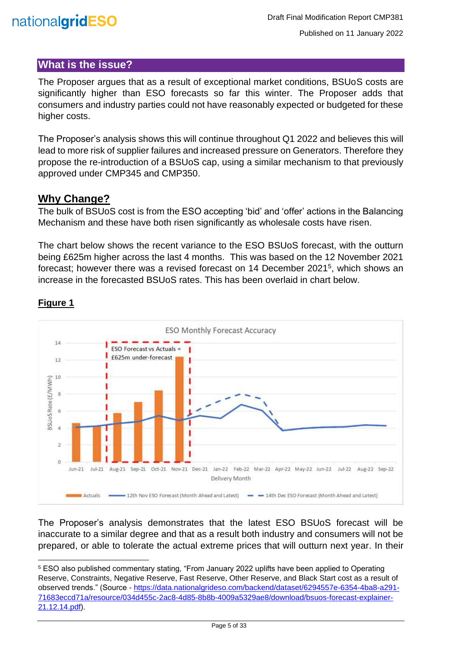

#### <span id="page-4-1"></span>**What is the issue?**

<span id="page-4-0"></span>The Proposer argues that as a result of exceptional market conditions, BSUoS costs are significantly higher than ESO forecasts so far this winter. The Proposer adds that consumers and industry parties could not have reasonably expected or budgeted for these higher costs.

The Proposer's analysis shows this will continue throughout Q1 2022 and believes this will lead to more risk of supplier failures and increased pressure on Generators. Therefore they propose the re-introduction of a BSUoS cap, using a similar mechanism to that previously approved under CMP345 and CMP350.

#### <span id="page-4-2"></span>**Why Change?**

The bulk of BSUoS cost is from the ESO accepting 'bid' and 'offer' actions in the Balancing Mechanism and these have both risen significantly as wholesale costs have risen.

The chart below shows the recent variance to the ESO BSUoS forecast, with the outturn being £625m higher across the last 4 months. This was based on the 12 November 2021 forecast; however there was a revised forecast on 14 December 2021<sup>5</sup>, which shows an increase in the forecasted BSUoS rates. This has been overlaid in chart below.



#### **Figure 1**

The Proposer's analysis demonstrates that the latest ESO BSUoS forecast will be inaccurate to a similar degree and that as a result both industry and consumers will not be prepared, or able to tolerate the actual extreme prices that will outturn next year. In their

<sup>5</sup> ESO also published commentary stating, "From January 2022 uplifts have been applied to Operating Reserve, Constraints, Negative Reserve, Fast Reserve, Other Reserve, and Black Start cost as a result of observed trends." (Source - [https://data.nationalgrideso.com/backend/dataset/6294557e-6354-4ba8-a291-](https://data.nationalgrideso.com/backend/dataset/6294557e-6354-4ba8-a291-71683eccd71a/resource/034d455c-2ac8-4d85-8b8b-4009a5329ae8/download/bsuos-forecast-explainer-21.12.14.pdf) [71683eccd71a/resource/034d455c-2ac8-4d85-8b8b-4009a5329ae8/download/bsuos-forecast-explainer-](https://data.nationalgrideso.com/backend/dataset/6294557e-6354-4ba8-a291-71683eccd71a/resource/034d455c-2ac8-4d85-8b8b-4009a5329ae8/download/bsuos-forecast-explainer-21.12.14.pdf)[21.12.14.pdf\)](https://data.nationalgrideso.com/backend/dataset/6294557e-6354-4ba8-a291-71683eccd71a/resource/034d455c-2ac8-4d85-8b8b-4009a5329ae8/download/bsuos-forecast-explainer-21.12.14.pdf).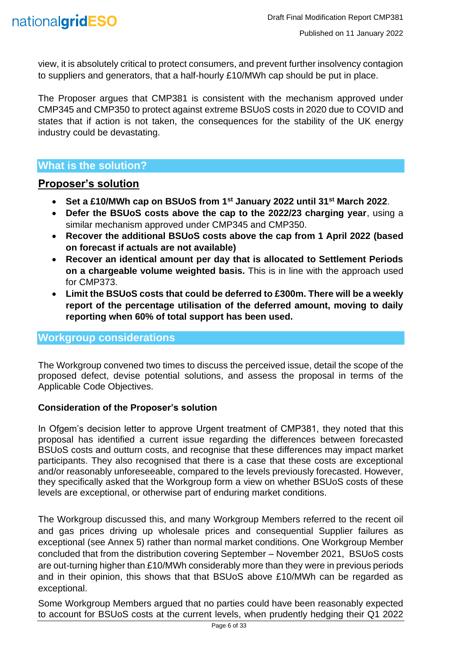view, it is absolutely critical to protect consumers, and prevent further insolvency contagion to suppliers and generators, that a half-hourly £10/MWh cap should be put in place.

The Proposer argues that CMP381 is consistent with the mechanism approved under CMP345 and CMP350 to protect against extreme BSUoS costs in 2020 due to COVID and states that if action is not taken, the consequences for the stability of the UK energy industry could be devastating.

#### <span id="page-5-0"></span>**What is the solution?**

#### <span id="page-5-1"></span>**Proposer's solution**

- **Set a £10/MWh cap on BSUoS from 1st January 2022 until 31st March 2022**.
- **Defer the BSUoS costs above the cap to the 2022/23 charging year**, using a similar mechanism approved under CMP345 and CMP350.
- **Recover the additional BSUoS costs above the cap from 1 April 2022 (based on forecast if actuals are not available)**
- **Recover an identical amount per day that is allocated to Settlement Periods on a chargeable volume weighted basis.** This is in line with the approach used for CMP373.
- **Limit the BSUoS costs that could be deferred to £300m. There will be a weekly report of the percentage utilisation of the deferred amount, moving to daily reporting when 60% of total support has been used.**

#### <span id="page-5-2"></span>**Workgroup considerations**

The Workgroup convened two times to discuss the perceived issue, detail the scope of the proposed defect, devise potential solutions, and assess the proposal in terms of the Applicable Code Objectives.

#### **Consideration of the Proposer's solution**

In Ofgem's decision letter to approve Urgent treatment of CMP381, they noted that this proposal has identified a current issue regarding the differences between forecasted BSUoS costs and outturn costs, and recognise that these differences may impact market participants. They also recognised that there is a case that these costs are exceptional and/or reasonably unforeseeable, compared to the levels previously forecasted. However, they specifically asked that the Workgroup form a view on whether BSUoS costs of these levels are exceptional, or otherwise part of enduring market conditions.

The Workgroup discussed this, and many Workgroup Members referred to the recent oil and gas prices driving up wholesale prices and consequential Supplier failures as exceptional (see Annex 5) rather than normal market conditions. One Workgroup Member concluded that from the distribution covering September – November 2021, BSUoS costs are out-turning higher than £10/MWh considerably more than they were in previous periods and in their opinion, this shows that that BSUoS above £10/MWh can be regarded as exceptional.

Some Workgroup Members argued that no parties could have been reasonably expected to account for BSUoS costs at the current levels, when prudently hedging their Q1 2022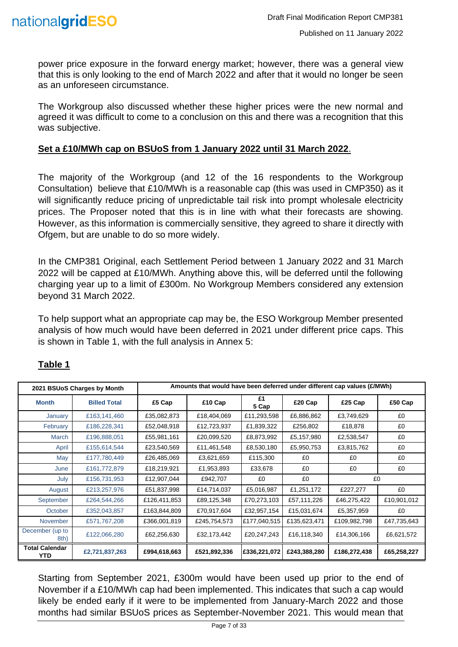

power price exposure in the forward energy market; however, there was a general view that this is only looking to the end of March 2022 and after that it would no longer be seen as an unforeseen circumstance.

The Workgroup also discussed whether these higher prices were the new normal and agreed it was difficult to come to a conclusion on this and there was a recognition that this was subjective.

#### **Set a £10/MWh cap on BSUoS from 1 January 2022 until 31 March 2022**.

The majority of the Workgroup (and 12 of the 16 respondents to the Workgroup Consultation) believe that £10/MWh is a reasonable cap (this was used in CMP350) as it will significantly reduce pricing of unpredictable tail risk into prompt wholesale electricity prices. The Proposer noted that this is in line with what their forecasts are showing. However, as this information is commercially sensitive, they agreed to share it directly with Ofgem, but are unable to do so more widely.

In the CMP381 Original, each Settlement Period between 1 January 2022 and 31 March 2022 will be capped at £10/MWh. Anything above this, will be deferred until the following charging year up to a limit of £300m. No Workgroup Members considered any extension beyond 31 March 2022.

To help support what an appropriate cap may be, the ESO Workgroup Member presented analysis of how much would have been deferred in 2021 under different price caps. This is shown in Table 1, with the full analysis in Annex 5:

|                               | 2021 BSUoS Charges by Month | Amounts that would have been deferred under different cap values (£/MWh) |              |              |              |              |             |
|-------------------------------|-----------------------------|--------------------------------------------------------------------------|--------------|--------------|--------------|--------------|-------------|
| <b>Month</b>                  | <b>Billed Total</b>         | £5 Cap                                                                   | £10 Cap      | £1<br>5 Cap  | £20 Cap      | £25 Cap      | £50 Cap     |
| January                       | £163,141,460                | £35,082,873                                                              | £18,404,069  | £11,293,598  | £6,886,862   | £3,749,629   | £0          |
| February                      | £186,228,341                | £52,048,918                                                              | £12,723,937  | £1,839,322   | £256,802     | £18,878      | £0          |
| <b>March</b>                  | £196,888,051                | £55,981,161                                                              | £20,099,520  | £8,873,992   | £5,157,980   | £2,538,547   | £0          |
| April                         | £155,614,544                | £23,540,569                                                              | £11,461,548  | £8,530,180   | £5,950,753   | £3,815,762   | £0          |
| May                           | £177,780,449                | £26,485,069                                                              | £3,621,659   | £115,300     | £0           | £0           | £0          |
| June                          | £161,772,879                | £18,219,921                                                              | £1,953,893   | £33,678      | £0           | £0           | £0          |
| July                          | £156,731,953                | £12,907,044                                                              | £942,707     | £0           | £0           | £0           |             |
| August                        | £213,257,976                | £51,837,998                                                              | £14,714,037  | £5,016,987   | £1,251,172   | £227,277     | £0          |
| September                     | £264,544,266                | £126,411,853                                                             | £89,125,348  | £70,273,103  | £57,111,226  | £46,275,422  | £10,901,012 |
| October                       | £352,043,857                | £163,844,809                                                             | £70,917,604  | £32,957,154  | £15,031,674  | £5,357,959   | £0          |
| November                      | £571,767,208                | £366,001,819                                                             | £245,754,573 | £177,040,515 | £135,623,471 | £109,982,798 | £47,735,643 |
| December (up to<br>8th)       | £122,066,280                | £62,256,630                                                              | £32,173,442  | £20,247,243  | £16,118,340  | £14,306,166  | £6,621,572  |
| <b>Total Calendar</b><br>YTD. | £2,721,837,263              | £994,618,663                                                             | £521,892,336 | £336,221,072 | £243,388,280 | £186,272,438 | £65,258,227 |

#### **Table 1**

Starting from September 2021, £300m would have been used up prior to the end of November if a £10/MWh cap had been implemented. This indicates that such a cap would likely be ended early if it were to be implemented from January-March 2022 and those months had similar BSUoS prices as September-November 2021. This would mean that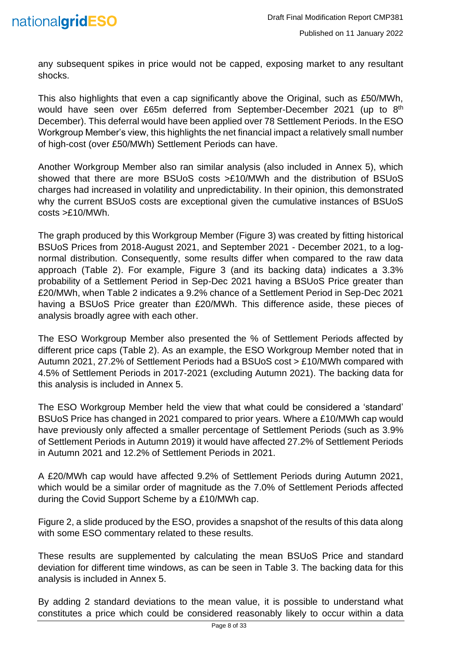

any subsequent spikes in price would not be capped, exposing market to any resultant shocks.

This also highlights that even a cap significantly above the Original, such as £50/MWh, would have seen over £65m deferred from September-December 2021 (up to 8<sup>th</sup> December). This deferral would have been applied over 78 Settlement Periods. In the ESO Workgroup Member's view, this highlights the net financial impact a relatively small number of high-cost (over £50/MWh) Settlement Periods can have.

Another Workgroup Member also ran similar analysis (also included in Annex 5), which showed that there are more BSUoS costs >£10/MWh and the distribution of BSUoS charges had increased in volatility and unpredictability. In their opinion, this demonstrated why the current BSUoS costs are exceptional given the cumulative instances of BSUoS costs >£10/MWh.

The graph produced by this Workgroup Member (Figure 3) was created by fitting historical BSUoS Prices from 2018-August 2021, and September 2021 - December 2021, to a lognormal distribution. Consequently, some results differ when compared to the raw data approach (Table 2). For example, Figure 3 (and its backing data) indicates a 3.3% probability of a Settlement Period in Sep-Dec 2021 having a BSUoS Price greater than £20/MWh, when Table 2 indicates a 9.2% chance of a Settlement Period in Sep-Dec 2021 having a BSUoS Price greater than £20/MWh. This difference aside, these pieces of analysis broadly agree with each other.

The ESO Workgroup Member also presented the % of Settlement Periods affected by different price caps (Table 2). As an example, the ESO Workgroup Member noted that in Autumn 2021, 27.2% of Settlement Periods had a BSUoS cost > £10/MWh compared with 4.5% of Settlement Periods in 2017-2021 (excluding Autumn 2021). The backing data for this analysis is included in Annex 5.

The ESO Workgroup Member held the view that what could be considered a 'standard' BSUoS Price has changed in 2021 compared to prior years. Where a £10/MWh cap would have previously only affected a smaller percentage of Settlement Periods (such as 3.9% of Settlement Periods in Autumn 2019) it would have affected 27.2% of Settlement Periods in Autumn 2021 and 12.2% of Settlement Periods in 2021.

A £20/MWh cap would have affected 9.2% of Settlement Periods during Autumn 2021, which would be a similar order of magnitude as the 7.0% of Settlement Periods affected during the Covid Support Scheme by a £10/MWh cap.

Figure 2, a slide produced by the ESO, provides a snapshot of the results of this data along with some ESO commentary related to these results.

These results are supplemented by calculating the mean BSUoS Price and standard deviation for different time windows, as can be seen in Table 3. The backing data for this analysis is included in Annex 5.

By adding 2 standard deviations to the mean value, it is possible to understand what constitutes a price which could be considered reasonably likely to occur within a data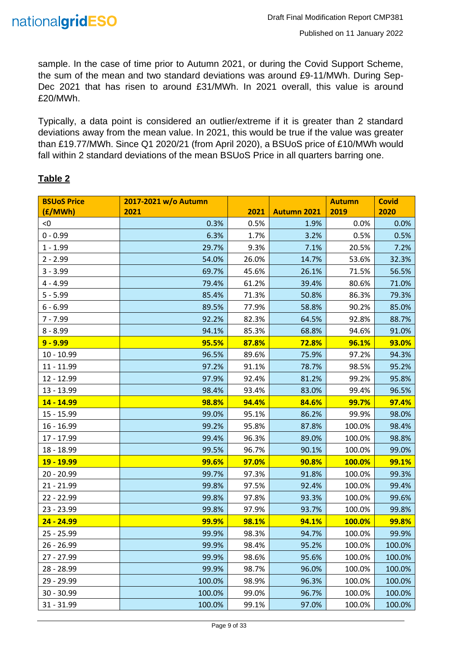sample. In the case of time prior to Autumn 2021, or during the Covid Support Scheme, the sum of the mean and two standard deviations was around £9-11/MWh. During Sep-Dec 2021 that has risen to around £31/MWh. In 2021 overall, this value is around £20/MWh.

Typically, a data point is considered an outlier/extreme if it is greater than 2 standard deviations away from the mean value. In 2021, this would be true if the value was greater than £19.77/MWh. Since Q1 2020/21 (from April 2020), a BSUoS price of £10/MWh would fall within 2 standard deviations of the mean BSUoS Price in all quarters barring one.

| <b>BSUoS Price</b> | 2017-2021 w/o Autumn |       |                    | <b>Autumn</b> | <b>Covid</b> |
|--------------------|----------------------|-------|--------------------|---------------|--------------|
| (E/MWh)            | 2021                 | 2021  | <b>Autumn 2021</b> | 2019          | 2020         |
| < 0                | 0.3%                 | 0.5%  | 1.9%               | 0.0%          | 0.0%         |
| $0 - 0.99$         | 6.3%                 | 1.7%  | 3.2%               | 0.5%          | 0.5%         |
| $1 - 1.99$         | 29.7%                | 9.3%  | 7.1%               | 20.5%         | 7.2%         |
| $2 - 2.99$         | 54.0%                | 26.0% | 14.7%              | 53.6%         | 32.3%        |
| $3 - 3.99$         | 69.7%                | 45.6% | 26.1%              | 71.5%         | 56.5%        |
| $4 - 4.99$         | 79.4%                | 61.2% | 39.4%              | 80.6%         | 71.0%        |
| $5 - 5.99$         | 85.4%                | 71.3% | 50.8%              | 86.3%         | 79.3%        |
| $6 - 6.99$         | 89.5%                | 77.9% | 58.8%              | 90.2%         | 85.0%        |
| $7 - 7.99$         | 92.2%                | 82.3% | 64.5%              | 92.8%         | 88.7%        |
| $8 - 8.99$         | 94.1%                | 85.3% | 68.8%              | 94.6%         | 91.0%        |
| $9 - 9.99$         | 95.5%                | 87.8% | 72.8%              | 96.1%         | 93.0%        |
| 10 - 10.99         | 96.5%                | 89.6% | 75.9%              | 97.2%         | 94.3%        |
| 11 - 11.99         | 97.2%                | 91.1% | 78.7%              | 98.5%         | 95.2%        |
| 12 - 12.99         | 97.9%                | 92.4% | 81.2%              | 99.2%         | 95.8%        |
| 13 - 13.99         | 98.4%                | 93.4% | 83.0%              | 99.4%         | 96.5%        |
| 14 - 14.99         | 98.8%                | 94.4% | 84.6%              | 99.7%         | 97.4%        |
| 15 - 15.99         | 99.0%                | 95.1% | 86.2%              | 99.9%         | 98.0%        |
| $16 - 16.99$       | 99.2%                | 95.8% | 87.8%              | 100.0%        | 98.4%        |
| 17 - 17.99         | 99.4%                | 96.3% | 89.0%              | 100.0%        | 98.8%        |
| 18 - 18.99         | 99.5%                | 96.7% | 90.1%              | 100.0%        | 99.0%        |
| <b>19 - 19.99</b>  | 99.6%                | 97.0% | 90.8%              | 100.0%        | 99.1%        |
| 20 - 20.99         | 99.7%                | 97.3% | 91.8%              | 100.0%        | 99.3%        |
| 21 - 21.99         | 99.8%                | 97.5% | 92.4%              | 100.0%        | 99.4%        |
| 22 - 22.99         | 99.8%                | 97.8% | 93.3%              | 100.0%        | 99.6%        |
| 23 - 23.99         | 99.8%                | 97.9% | 93.7%              | 100.0%        | 99.8%        |
| 24 - 24.99         | 99.9%                | 98.1% | 94.1%              | 100.0%        | 99.8%        |
| 25 - 25.99         | 99.9%                | 98.3% | 94.7%              | 100.0%        | 99.9%        |
| $26 - 26.99$       | 99.9%                | 98.4% | 95.2%              | 100.0%        | 100.0%       |
| 27 - 27.99         | 99.9%                | 98.6% | 95.6%              | 100.0%        | 100.0%       |
| 28 - 28.99         | 99.9%                | 98.7% | 96.0%              | 100.0%        | 100.0%       |
| 29 - 29.99         | 100.0%               | 98.9% | 96.3%              | 100.0%        | 100.0%       |
| $30 - 30.99$       | 100.0%               | 99.0% | 96.7%              | 100.0%        | 100.0%       |
| $31 - 31.99$       | 100.0%               | 99.1% | 97.0%              | 100.0%        | 100.0%       |

#### **Table 2**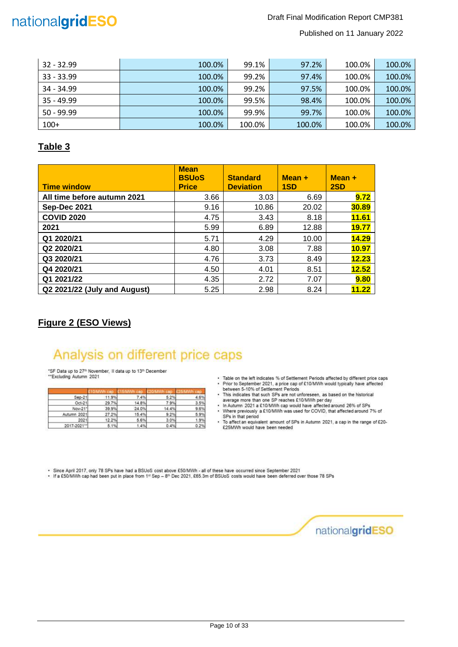

#### Draft Final Modification Report CMP381

Published on 11 January 2022

| $32 - 32.99$ | 100.0% | 99.1%  | 97.2%  | 100.0% | 100.0% |
|--------------|--------|--------|--------|--------|--------|
| $33 - 33.99$ | 100.0% | 99.2%  | 97.4%  | 100.0% | 100.0% |
| 34 - 34.99   | 100.0% | 99.2%  | 97.5%  | 100.0% | 100.0% |
| $35 - 49.99$ | 100.0% | 99.5%  | 98.4%  | 100.0% | 100.0% |
| $50 - 99.99$ | 100.0% | 99.9%  | 99.7%  | 100.0% | 100.0% |
| $100+$       | 100.0% | 100.0% | 100.0% | 100.0% | 100.0% |

#### **Table 3**

| <b>Time window</b>           | <b>Mean</b><br><b>BSUoS</b><br><b>Price</b> | <b>Standard</b><br><b>Deviation</b> | $Mean +$<br>1SD | $Mean +$<br>2SD |
|------------------------------|---------------------------------------------|-------------------------------------|-----------------|-----------------|
| All time before autumn 2021  | 3.66                                        | 3.03                                | 6.69            | 9.72            |
| <b>Sep-Dec 2021</b>          | 9.16                                        | 10.86                               | 20.02           | 30.89           |
| <b>COVID 2020</b>            | 4.75                                        | 3.43                                | 8.18            | <b>11.61</b>    |
| 2021                         | 5.99                                        | 6.89                                | 12.88           | <b>19.77</b>    |
| Q1 2020/21                   | 5.71                                        | 4.29                                | 10.00           | 14.29           |
| Q2 2020/21                   | 4.80                                        | 3.08                                | 7.88            | 10.97           |
| Q3 2020/21                   | 4.76                                        | 3.73                                | 8.49            | 12.23           |
| Q4 2020/21                   | 4.50                                        | 4.01                                | 8.51            | 12.52           |
| Q1 2021/22                   | 4.35                                        | 2.72                                | 7.07            | 9.80            |
| Q2 2021/22 (July and August) | 5.25                                        | 2.98                                | 8.24            | 11.22           |

#### **Figure 2 (ESO Views)**

## Analysis on different price caps

\*SF Data up to 27<sup>th</sup> November, II data up to 13<sup>th</sup> December<br>\*\*Excluding Autumn 2021

|             | -mn   | mn    |       |      |
|-------------|-------|-------|-------|------|
| $Sep-21$    | 11.9% | 7.4%  | 5.2%  | 4.6% |
| Oct-21      | 29.7% | 14.8% | 7.9%  | 3.5% |
| Nov-21*     | 39.9% | 24.0% | 14.4% | 9.6% |
| Autumn 2021 | 27.2% | 15.4% | 9.2%  | 5.9% |
| 2021        | 12.2% | 5.6%  | 3.0%  | 1.9% |
| 2017-2021"  | 5.1%  | 1.4%  | 0.4%  | 0.2% |

- \* Table on the left indicates % of Settlement Periods affected by different price caps • Table on the left indicates % of Settlement Penods affected by different price cap<br>
• Prior to September 2021, a price cap of £10/MWh would typically have affected<br>
• This indicates that such SPs are not unforeseen, as
- 
- 
- Where previously a £10/MWh was used for COVID, that affected around 7% of<br>SPs in that period
- To affect an equivalent amount of SPs in Autumn 2021, a cap in the range of £20-<br>£25MWh would have been needed

• Since April 2017, only 78 SPs have had a BSUoS cost above £50/MWh - all of these have occurred since September 2021<br>• If a £50/MWh cap had been put in place from 1≌ Sep – 8<sup>th</sup> Dec 2021, £65.3m of BSUoS costs would have

nationalgridESO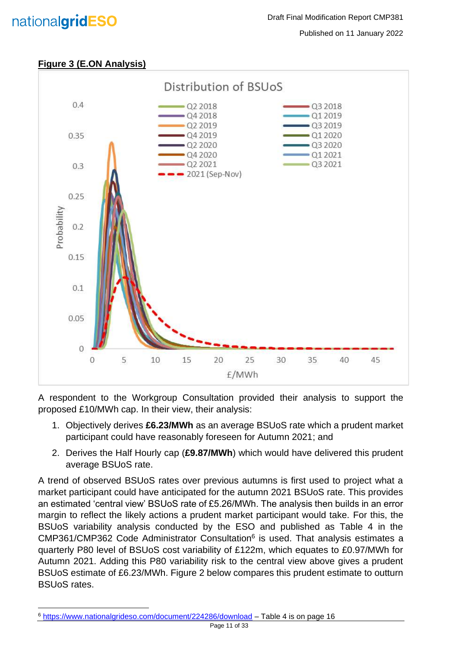## nationalgridESO

#### Published on 11 January 2022



A respondent to the Workgroup Consultation provided their analysis to support the proposed £10/MWh cap. In their view, their analysis:

- 1. Objectively derives **£6.23/MWh** as an average BSUoS rate which a prudent market participant could have reasonably foreseen for Autumn 2021; and
- 2. Derives the Half Hourly cap (**£9.87/MWh**) which would have delivered this prudent average BSUoS rate.

A trend of observed BSUoS rates over previous autumns is first used to project what a market participant could have anticipated for the autumn 2021 BSUoS rate. This provides an estimated 'central view' BSUoS rate of £5.26/MWh. The analysis then builds in an error margin to reflect the likely actions a prudent market participant would take. For this, the BSUoS variability analysis conducted by the ESO and published as Table 4 in the CMP361/CMP362 Code Administrator Consultation<sup>6</sup> is used. That analysis estimates a quarterly P80 level of BSUoS cost variability of £122m, which equates to £0.97/MWh for Autumn 2021. Adding this P80 variability risk to the central view above gives a prudent BSUoS estimate of £6.23/MWh. Figure 2 below compares this prudent estimate to outturn BSUoS rates.

<sup>6</sup> <https://www.nationalgrideso.com/document/224286/download> – Table 4 is on page 16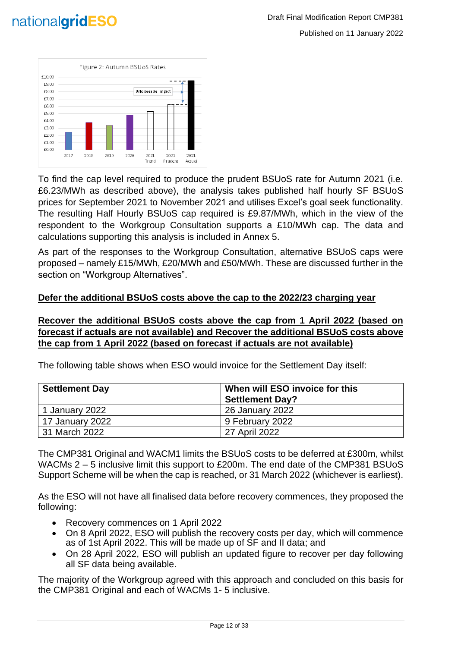



To find the cap level required to produce the prudent BSUoS rate for Autumn 2021 (i.e. £6.23/MWh as described above), the analysis takes published half hourly SF BSUoS prices for September 2021 to November 2021 and utilises Excel's goal seek functionality. The resulting Half Hourly BSUoS cap required is £9.87/MWh, which in the view of the respondent to the Workgroup Consultation supports a £10/MWh cap. The data and calculations supporting this analysis is included in Annex 5.

As part of the responses to the Workgroup Consultation, alternative BSUoS caps were proposed – namely £15/MWh, £20/MWh and £50/MWh. These are discussed further in the section on "Workgroup Alternatives".

#### **Defer the additional BSUoS costs above the cap to the 2022/23 charging year**

#### **Recover the additional BSUoS costs above the cap from 1 April 2022 (based on forecast if actuals are not available) and Recover the additional BSUoS costs above the cap from 1 April 2022 (based on forecast if actuals are not available)**

| <b>Settlement Day</b> | When will ESO invoice for this |
|-----------------------|--------------------------------|
|                       | <b>Settlement Day?</b>         |
| 1 January 2022        | 26 January 2022                |
| 17 January 2022       | 9 February 2022                |
| l 31 March 2022       | 27 April 2022                  |

The following table shows when ESO would invoice for the Settlement Day itself:

The CMP381 Original and WACM1 limits the BSUoS costs to be deferred at £300m, whilst WACMs 2 – 5 inclusive limit this support to £200m. The end date of the CMP381 BSUoS Support Scheme will be when the cap is reached, or 31 March 2022 (whichever is earliest).

As the ESO will not have all finalised data before recovery commences, they proposed the following:

- Recovery commences on 1 April 2022
- On 8 April 2022, ESO will publish the recovery costs per day, which will commence as of 1st April 2022. This will be made up of SF and II data; and
- On 28 April 2022, ESO will publish an updated figure to recover per day following all SF data being available.

The majority of the Workgroup agreed with this approach and concluded on this basis for the CMP381 Original and each of WACMs 1- 5 inclusive.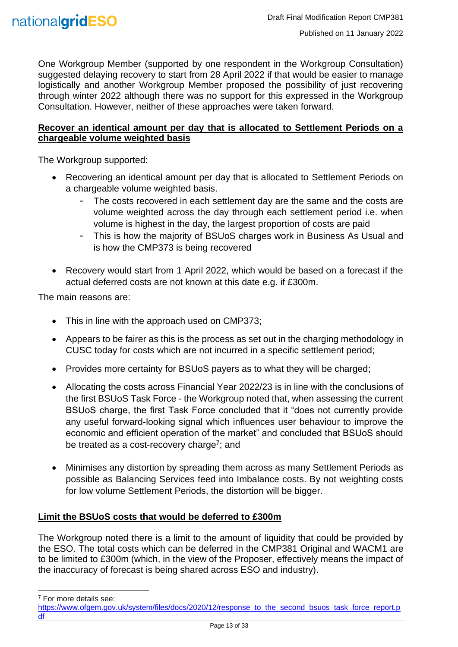

One Workgroup Member (supported by one respondent in the Workgroup Consultation) suggested delaying recovery to start from 28 April 2022 if that would be easier to manage logistically and another Workgroup Member proposed the possibility of just recovering through winter 2022 although there was no support for this expressed in the Workgroup Consultation. However, neither of these approaches were taken forward.

#### **Recover an identical amount per day that is allocated to Settlement Periods on a chargeable volume weighted basis**

The Workgroup supported:

- Recovering an identical amount per day that is allocated to Settlement Periods on a chargeable volume weighted basis.
	- The costs recovered in each settlement day are the same and the costs are volume weighted across the day through each settlement period i.e. when volume is highest in the day, the largest proportion of costs are paid
	- This is how the majority of BSUoS charges work in Business As Usual and is how the CMP373 is being recovered
- Recovery would start from 1 April 2022, which would be based on a forecast if the actual deferred costs are not known at this date e.g. if £300m.

The main reasons are:

- This in line with the approach used on CMP373;
- Appears to be fairer as this is the process as set out in the charging methodology in CUSC today for costs which are not incurred in a specific settlement period;
- Provides more certainty for BSUoS payers as to what they will be charged;
- Allocating the costs across Financial Year 2022/23 is in line with the conclusions of the first BSUoS Task Force - the Workgroup noted that, when assessing the current BSUoS charge, the first Task Force concluded that it "does not currently provide any useful forward-looking signal which influences user behaviour to improve the economic and efficient operation of the market" and concluded that BSUoS should be treated as a cost-recovery charge<sup>7</sup>; and
- Minimises any distortion by spreading them across as many Settlement Periods as possible as Balancing Services feed into Imbalance costs. By not weighting costs for low volume Settlement Periods, the distortion will be bigger.

#### **Limit the BSUoS costs that would be deferred to £300m**

The Workgroup noted there is a limit to the amount of liquidity that could be provided by the ESO. The total costs which can be deferred in the CMP381 Original and WACM1 are to be limited to £300m (which, in the view of the Proposer, effectively means the impact of the inaccuracy of forecast is being shared across ESO and industry).

<sup>7</sup> For more details see:

[https://www.ofgem.gov.uk/system/files/docs/2020/12/response\\_to\\_the\\_second\\_bsuos\\_task\\_force\\_report.p](https://www.ofgem.gov.uk/system/files/docs/2020/12/response_to_the_second_bsuos_task_force_report.pdf) [df](https://www.ofgem.gov.uk/system/files/docs/2020/12/response_to_the_second_bsuos_task_force_report.pdf)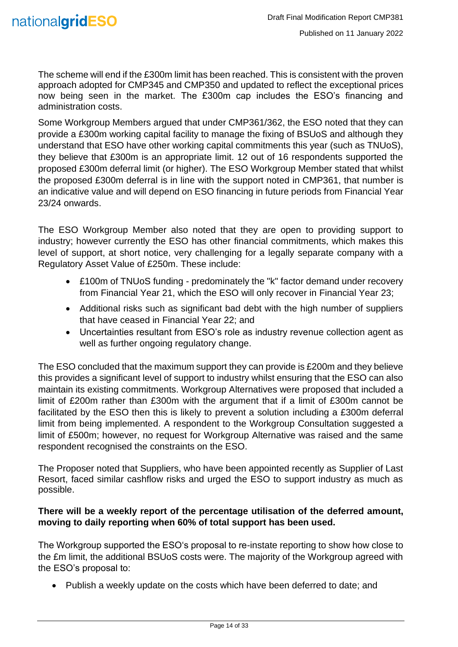The scheme will end if the £300m limit has been reached. This is consistent with the proven approach adopted for CMP345 and CMP350 and updated to reflect the exceptional prices now being seen in the market. The £300m cap includes the ESO's financing and administration costs.

Some Workgroup Members argued that under CMP361/362, the ESO noted that they can provide a £300m working capital facility to manage the fixing of BSUoS and although they understand that ESO have other working capital commitments this year (such as TNUoS), they believe that £300m is an appropriate limit. 12 out of 16 respondents supported the proposed £300m deferral limit (or higher). The ESO Workgroup Member stated that whilst the proposed £300m deferral is in line with the support noted in CMP361, that number is an indicative value and will depend on ESO financing in future periods from Financial Year 23/24 onwards.

The ESO Workgroup Member also noted that they are open to providing support to industry; however currently the ESO has other financial commitments, which makes this level of support, at short notice, very challenging for a legally separate company with a Regulatory Asset Value of £250m. These include:

- £100m of TNUoS funding predominately the "k" factor demand under recovery from Financial Year 21, which the ESO will only recover in Financial Year 23;
- Additional risks such as significant bad debt with the high number of suppliers that have ceased in Financial Year 22; and
- Uncertainties resultant from ESO's role as industry revenue collection agent as well as further ongoing regulatory change.

The ESO concluded that the maximum support they can provide is £200m and they believe this provides a significant level of support to industry whilst ensuring that the ESO can also maintain its existing commitments. Workgroup Alternatives were proposed that included a limit of £200m rather than £300m with the argument that if a limit of £300m cannot be facilitated by the ESO then this is likely to prevent a solution including a £300m deferral limit from being implemented. A respondent to the Workgroup Consultation suggested a limit of £500m; however, no request for Workgroup Alternative was raised and the same respondent recognised the constraints on the ESO.

The Proposer noted that Suppliers, who have been appointed recently as Supplier of Last Resort, faced similar cashflow risks and urged the ESO to support industry as much as possible.

#### **There will be a weekly report of the percentage utilisation of the deferred amount, moving to daily reporting when 60% of total support has been used.**

The Workgroup supported the ESO's proposal to re-instate reporting to show how close to the £m limit, the additional BSUoS costs were. The majority of the Workgroup agreed with the ESO's proposal to:

• Publish a weekly update on the costs which have been deferred to date; and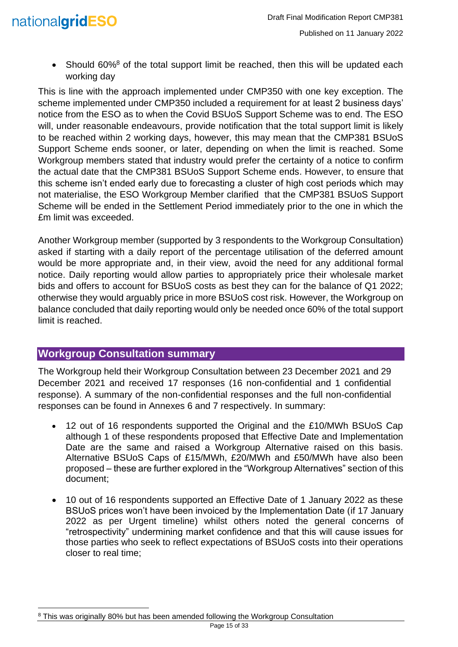

• Should  $60\%$ <sup>8</sup> of the total support limit be reached, then this will be updated each working day

This is line with the approach implemented under CMP350 with one key exception. The scheme implemented under CMP350 included a requirement for at least 2 business days' notice from the ESO as to when the Covid BSUoS Support Scheme was to end. The ESO will, under reasonable endeavours, provide notification that the total support limit is likely to be reached within 2 working days, however, this may mean that the CMP381 BSUoS Support Scheme ends sooner, or later, depending on when the limit is reached. Some Workgroup members stated that industry would prefer the certainty of a notice to confirm the actual date that the CMP381 BSUoS Support Scheme ends. However, to ensure that this scheme isn't ended early due to forecasting a cluster of high cost periods which may not materialise, the ESO Workgroup Member clarified that the CMP381 BSUoS Support Scheme will be ended in the Settlement Period immediately prior to the one in which the £m limit was exceeded.

Another Workgroup member (supported by 3 respondents to the Workgroup Consultation) asked if starting with a daily report of the percentage utilisation of the deferred amount would be more appropriate and, in their view, avoid the need for any additional formal notice. Daily reporting would allow parties to appropriately price their wholesale market bids and offers to account for BSUoS costs as best they can for the balance of Q1 2022; otherwise they would arguably price in more BSUoS cost risk. However, the Workgroup on balance concluded that daily reporting would only be needed once 60% of the total support limit is reached.

#### <span id="page-14-0"></span>**Workgroup Consultation summary**

The Workgroup held their Workgroup Consultation between 23 December 2021 and 29 December 2021 and received 17 responses (16 non-confidential and 1 confidential response). A summary of the non-confidential responses and the full non-confidential responses can be found in Annexes 6 and 7 respectively. In summary:

- 12 out of 16 respondents supported the Original and the £10/MWh BSUoS Cap although 1 of these respondents proposed that Effective Date and Implementation Date are the same and raised a Workgroup Alternative raised on this basis. Alternative BSUoS Caps of £15/MWh, £20/MWh and £50/MWh have also been proposed – these are further explored in the "Workgroup Alternatives" section of this document;
- 10 out of 16 respondents supported an Effective Date of 1 January 2022 as these BSUoS prices won't have been invoiced by the Implementation Date (if 17 January 2022 as per Urgent timeline) whilst others noted the general concerns of "retrospectivity" undermining market confidence and that this will cause issues for those parties who seek to reflect expectations of BSUoS costs into their operations closer to real time;

<sup>&</sup>lt;sup>8</sup> This was originally 80% but has been amended following the Workgroup Consultation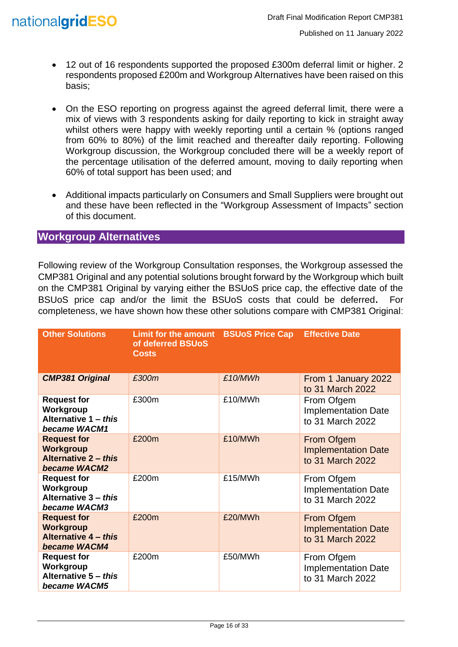

- 12 out of 16 respondents supported the proposed £300m deferral limit or higher. 2 respondents proposed £200m and Workgroup Alternatives have been raised on this basis;
- On the ESO reporting on progress against the agreed deferral limit, there were a mix of views with 3 respondents asking for daily reporting to kick in straight away whilst others were happy with weekly reporting until a certain % (options ranged from 60% to 80%) of the limit reached and thereafter daily reporting. Following Workgroup discussion, the Workgroup concluded there will be a weekly report of the percentage utilisation of the deferred amount, moving to daily reporting when 60% of total support has been used; and
- Additional impacts particularly on Consumers and Small Suppliers were brought out and these have been reflected in the "Workgroup Assessment of Impacts" section of this document.

#### <span id="page-15-0"></span>**Workgroup Alternatives**

Following review of the Workgroup Consultation responses, the Workgroup assessed the CMP381 Original and any potential solutions brought forward by the Workgroup which built on the CMP381 Original by varying either the BSUoS price cap, the effective date of the BSUoS price cap and/or the limit the BSUoS costs that could be deferred. completeness, we have shown how these other solutions compare with CMP381 Original:

| <b>Other Solutions</b>                                                                | Limit for the amount BSUoS Price Cap<br>of deferred BSUoS<br><b>Costs</b> |         | <b>Effective Date</b>                                        |
|---------------------------------------------------------------------------------------|---------------------------------------------------------------------------|---------|--------------------------------------------------------------|
| <b>CMP381 Original</b>                                                                | £300m                                                                     | £10/MWh | From 1 January 2022<br>to 31 March 2022                      |
| <b>Request for</b><br>Workgroup<br>Alternative 1 - this<br>became WACM1               | £300m                                                                     | £10/MWh | From Ofgem<br><b>Implementation Date</b><br>to 31 March 2022 |
| <b>Request for</b><br><b>Workgroup</b><br><b>Alternative 2 - this</b><br>became WACM2 | £200m                                                                     | £10/MWh | From Ofgem<br><b>Implementation Date</b><br>to 31 March 2022 |
| <b>Request for</b><br>Workgroup<br>Alternative 3 - this<br>became WACM3               | £200m                                                                     | £15/MWh | From Ofgem<br><b>Implementation Date</b><br>to 31 March 2022 |
| <b>Request for</b><br><b>Workgroup</b><br>Alternative 4 - this<br>became WACM4        | £200m                                                                     | £20/MWh | From Ofgem<br><b>Implementation Date</b><br>to 31 March 2022 |
| <b>Request for</b><br>Workgroup<br>Alternative 5 - this<br>became WACM5               | £200m                                                                     | £50/MWh | From Ofgem<br><b>Implementation Date</b><br>to 31 March 2022 |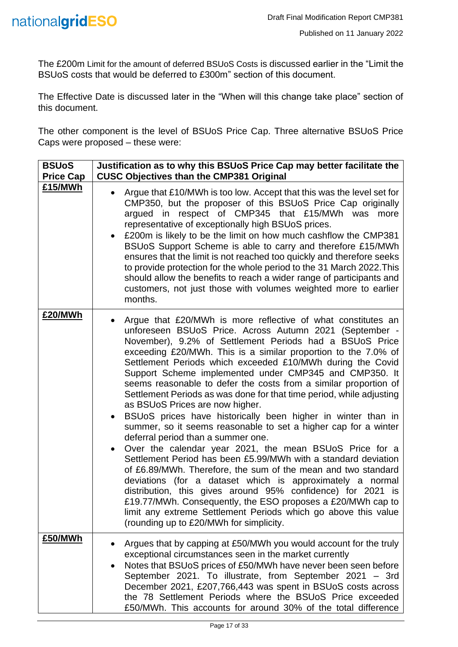The £200m Limit for the amount of deferred BSUoS Costs is discussed earlier in the "Limit the BSUoS costs that would be deferred to £300m" section of this document.

The Effective Date is discussed later in the "When will this change take place" section of this document.

The other component is the level of BSUoS Price Cap. Three alternative BSUoS Price Caps were proposed – these were:

| <b>BSUoS</b><br><b>Price Cap</b> | Justification as to why this BSUoS Price Cap may better facilitate the<br><b>CUSC Objectives than the CMP381 Original</b>                                                                                                                                                                                                                                                                                                                                                                                                                                                                                                                                                                                                                                                                                                                                                                                                                                                                                                                                                                                                                                                                                                                  |
|----------------------------------|--------------------------------------------------------------------------------------------------------------------------------------------------------------------------------------------------------------------------------------------------------------------------------------------------------------------------------------------------------------------------------------------------------------------------------------------------------------------------------------------------------------------------------------------------------------------------------------------------------------------------------------------------------------------------------------------------------------------------------------------------------------------------------------------------------------------------------------------------------------------------------------------------------------------------------------------------------------------------------------------------------------------------------------------------------------------------------------------------------------------------------------------------------------------------------------------------------------------------------------------|
| £15/MWh                          | Argue that £10/MWh is too low. Accept that this was the level set for<br>CMP350, but the proposer of this BSUoS Price Cap originally<br>argued in respect of CMP345 that £15/MWh was<br>more<br>representative of exceptionally high BSUoS prices.<br>£200m is likely to be the limit on how much cashflow the CMP381<br>BSUoS Support Scheme is able to carry and therefore £15/MWh<br>ensures that the limit is not reached too quickly and therefore seeks<br>to provide protection for the whole period to the 31 March 2022. This<br>should allow the benefits to reach a wider range of participants and<br>customers, not just those with volumes weighted more to earlier<br>months.                                                                                                                                                                                                                                                                                                                                                                                                                                                                                                                                               |
| £20/MWh                          | Argue that £20/MWh is more reflective of what constitutes an<br>unforeseen BSUoS Price. Across Autumn 2021 (September -<br>November), 9.2% of Settlement Periods had a BSUoS Price<br>exceeding £20/MWh. This is a similar proportion to the 7.0% of<br>Settlement Periods which exceeded £10/MWh during the Covid<br>Support Scheme implemented under CMP345 and CMP350. It<br>seems reasonable to defer the costs from a similar proportion of<br>Settlement Periods as was done for that time period, while adjusting<br>as BSUoS Prices are now higher.<br>BSUoS prices have historically been higher in winter than in<br>summer, so it seems reasonable to set a higher cap for a winter<br>deferral period than a summer one.<br>Over the calendar year 2021, the mean BSUoS Price for a<br>Settlement Period has been £5.99/MWh with a standard deviation<br>of £6.89/MWh. Therefore, the sum of the mean and two standard<br>deviations (for a dataset which is approximately a normal<br>distribution, this gives around 95% confidence) for 2021 is<br>£19.77/MWh. Consequently, the ESO proposes a £20/MWh cap to<br>limit any extreme Settlement Periods which go above this value<br>(rounding up to £20/MWh for simplicity. |
| £50/MWh                          | Argues that by capping at £50/MWh you would account for the truly<br>exceptional circumstances seen in the market currently<br>Notes that BSUoS prices of £50/MWh have never been seen before<br>٠<br>September 2021. To illustrate, from September 2021 - 3rd<br>December 2021, £207,766,443 was spent in BSUoS costs across<br>the 78 Settlement Periods where the BSUoS Price exceeded<br>£50/MWh. This accounts for around 30% of the total difference                                                                                                                                                                                                                                                                                                                                                                                                                                                                                                                                                                                                                                                                                                                                                                                 |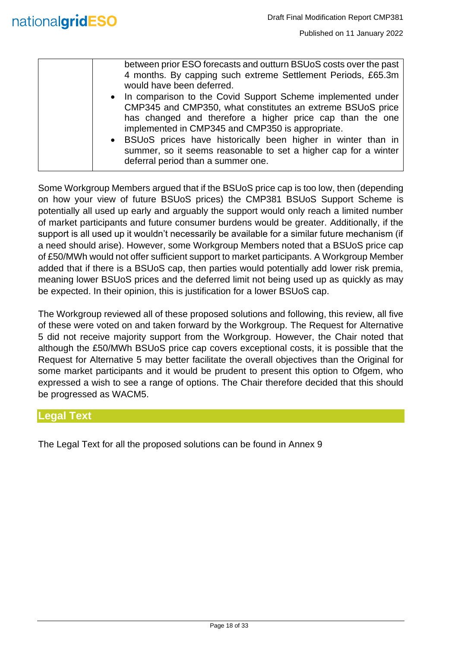| between prior ESO forecasts and outturn BSUoS costs over the past<br>4 months. By capping such extreme Settlement Periods, £65.3m<br>would have been deferred. |
|----------------------------------------------------------------------------------------------------------------------------------------------------------------|
|                                                                                                                                                                |
| • In comparison to the Covid Support Scheme implemented under                                                                                                  |
| CMP345 and CMP350, what constitutes an extreme BSUoS price                                                                                                     |
| has changed and therefore a higher price cap than the one                                                                                                      |
| implemented in CMP345 and CMP350 is appropriate.                                                                                                               |
| • BSUoS prices have historically been higher in winter than in                                                                                                 |
| summer, so it seems reasonable to set a higher cap for a winter<br>deferral period than a summer one.                                                          |
|                                                                                                                                                                |

Some Workgroup Members argued that if the BSUoS price cap is too low, then (depending on how your view of future BSUoS prices) the CMP381 BSUoS Support Scheme is potentially all used up early and arguably the support would only reach a limited number of market participants and future consumer burdens would be greater. Additionally, if the support is all used up it wouldn't necessarily be available for a similar future mechanism (if a need should arise). However, some Workgroup Members noted that a BSUoS price cap of £50/MWh would not offer sufficient support to market participants. A Workgroup Member added that if there is a BSUoS cap, then parties would potentially add lower risk premia, meaning lower BSUoS prices and the deferred limit not being used up as quickly as may be expected. In their opinion, this is justification for a lower BSUoS cap.

The Workgroup reviewed all of these proposed solutions and following, this review, all five of these were voted on and taken forward by the Workgroup. The Request for Alternative 5 did not receive majority support from the Workgroup. However, the Chair noted that although the £50/MWh BSUoS price cap covers exceptional costs, it is possible that the Request for Alternative 5 may better facilitate the overall objectives than the Original for some market participants and it would be prudent to present this option to Ofgem, who expressed a wish to see a range of options. The Chair therefore decided that this should be progressed as WACM5.

#### <span id="page-17-0"></span>**Legal Text**

The Legal Text for all the proposed solutions can be found in Annex 9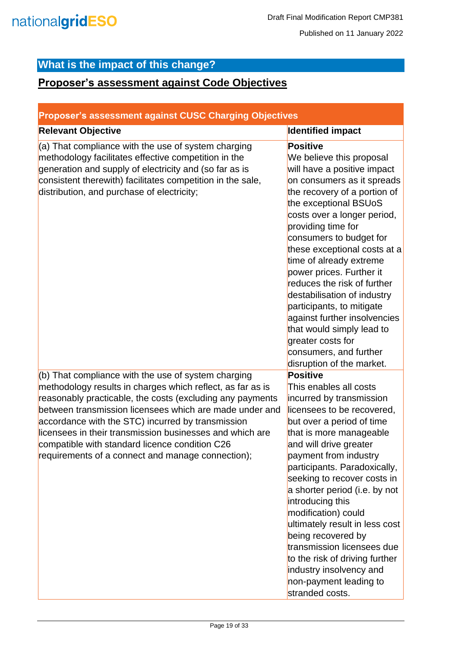## <span id="page-18-0"></span>**What is the impact of this change?**

### <span id="page-18-1"></span>**Proposer's assessment against Code Objectives**

<span id="page-18-2"></span>

| <b>Proposer's assessment against CUSC Charging Objectives</b>                                                                                                                                                                                                                                                                                                                                                                                                     |                                                                                                                                                                                                                                                                                                                                                                                                                                                                                                                                                                              |
|-------------------------------------------------------------------------------------------------------------------------------------------------------------------------------------------------------------------------------------------------------------------------------------------------------------------------------------------------------------------------------------------------------------------------------------------------------------------|------------------------------------------------------------------------------------------------------------------------------------------------------------------------------------------------------------------------------------------------------------------------------------------------------------------------------------------------------------------------------------------------------------------------------------------------------------------------------------------------------------------------------------------------------------------------------|
| <b>Relevant Objective</b>                                                                                                                                                                                                                                                                                                                                                                                                                                         | <b>Identified impact</b>                                                                                                                                                                                                                                                                                                                                                                                                                                                                                                                                                     |
| (a) That compliance with the use of system charging<br>methodology facilitates effective competition in the<br>generation and supply of electricity and (so far as is<br>consistent therewith) facilitates competition in the sale,<br>distribution, and purchase of electricity;                                                                                                                                                                                 | <b>Positive</b><br>We believe this proposal<br>will have a positive impact<br>on consumers as it spreads<br>the recovery of a portion of<br>the exceptional BSUoS<br>costs over a longer period,<br>providing time for<br>consumers to budget for<br>these exceptional costs at a<br>time of already extreme<br>power prices. Further it<br>reduces the risk of further<br>destabilisation of industry<br>participants, to mitigate<br>against further insolvencies<br>that would simply lead to<br>greater costs for<br>consumers, and further<br>disruption of the market. |
| (b) That compliance with the use of system charging<br>methodology results in charges which reflect, as far as is<br>reasonably practicable, the costs (excluding any payments<br>between transmission licensees which are made under and<br>accordance with the STC) incurred by transmission<br>licensees in their transmission businesses and which are<br>compatible with standard licence condition C26<br>requirements of a connect and manage connection); | <b>Positive</b><br>This enables all costs<br>incurred by transmission<br>licensees to be recovered,<br>but over a period of time<br>that is more manageable<br>and will drive greater<br>payment from industry<br>participants. Paradoxically,<br>seeking to recover costs in<br>a shorter period (i.e. by not<br>introducing this<br>modification) could<br>ultimately result in less cost<br>being recovered by<br>transmission licensees due<br>to the risk of driving further<br>industry insolvency and<br>non-payment leading to<br>stranded costs.                    |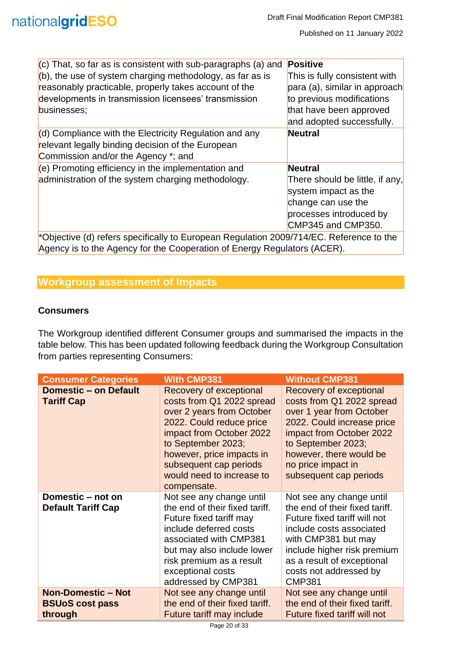| $(c)$ That, so far as is consistent with sub-paragraphs (a) and                                                     | <b>Positive</b>                                                               |
|---------------------------------------------------------------------------------------------------------------------|-------------------------------------------------------------------------------|
| $(6)$ , the use of system charging methodology, as far as is                                                        | This is fully consistent with                                                 |
| reasonably practicable, properly takes account of the                                                               | para (a), similar in approach                                                 |
| developments in transmission licensees' transmission                                                                | to previous modifications                                                     |
| businesses;                                                                                                         | that have been approved                                                       |
|                                                                                                                     | and adopted successfully.                                                     |
| $\vert$ (d) Compliance with the Electricity Regulation and any<br>relevant legally binding decision of the European | <b>Neutral</b>                                                                |
| Commission and/or the Agency *; and                                                                                 |                                                                               |
| $\vert$ (e) Promoting efficiency in the implementation and                                                          | <b>Neutral</b>                                                                |
| administration of the system charging methodology.                                                                  | There should be little, if any,<br>system impact as the<br>change can use the |
|                                                                                                                     | processes introduced by<br>CMP345 and CMP350.                                 |
| *Objective (d) refers specifically to European Regulation 2009/714/EC. Reference to the                             |                                                                               |
| Agency is to the Agency for the Cooperation of Energy Regulators (ACER).                                            |                                                                               |

<span id="page-19-0"></span>

#### **Workgroup assessment of Impacts**

#### **Consumers**

The Workgroup identified different Consumer groups and summarised the impacts in the table below. This has been updated following feedback during the Workgroup Consultation from parties representing Consumers:

| <b>Consumer Categories</b>                                     | <b>With CMP381</b>                                                                                                                                                                                                                                                 | <b>Without CMP381</b>                                                                                                                                                                                                                                 |
|----------------------------------------------------------------|--------------------------------------------------------------------------------------------------------------------------------------------------------------------------------------------------------------------------------------------------------------------|-------------------------------------------------------------------------------------------------------------------------------------------------------------------------------------------------------------------------------------------------------|
| <b>Domestic - on Default</b><br><b>Tariff Cap</b>              | Recovery of exceptional<br>costs from Q1 2022 spread<br>over 2 years from October<br>2022. Could reduce price<br>impact from October 2022<br>to September 2023;<br>however, price impacts in<br>subsequent cap periods<br>would need to increase to<br>compensate. | Recovery of exceptional<br>costs from Q1 2022 spread<br>over 1 year from October<br>2022. Could increase price<br>impact from October 2022<br>to September 2023;<br>however, there would be<br>no price impact in<br>subsequent cap periods           |
| Domestic – not on<br><b>Default Tariff Cap</b>                 | Not see any change until<br>the end of their fixed tariff.<br>Future fixed tariff may<br>include deferred costs<br>associated with CMP381<br>but may also include lower<br>risk premium as a result<br>exceptional costs<br>addressed by CMP381                    | Not see any change until<br>the end of their fixed tariff.<br>Future fixed tariff will not<br>include costs associated<br>with CMP381 but may<br>include higher risk premium<br>as a result of exceptional<br>costs not addressed by<br><b>CMP381</b> |
| <b>Non-Domestic - Not</b><br><b>BSUoS cost pass</b><br>through | Not see any change until<br>the end of their fixed tariff.<br>Future tariff may include                                                                                                                                                                            | Not see any change until<br>the end of their fixed tariff.<br>Future fixed tariff will not                                                                                                                                                            |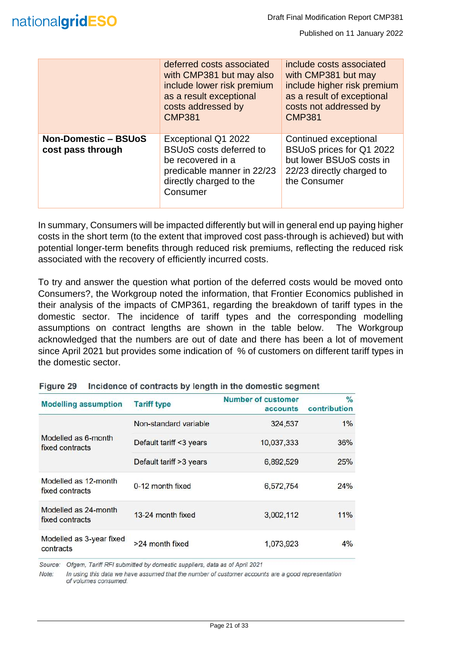|                                                  | deferred costs associated<br>with CMP381 but may also<br>include lower risk premium<br>as a result exceptional<br>costs addressed by<br><b>CMP381</b> | include costs associated<br>with CMP381 but may<br>include higher risk premium<br>as a result of exceptional<br>costs not addressed by<br><b>CMP381</b> |
|--------------------------------------------------|-------------------------------------------------------------------------------------------------------------------------------------------------------|---------------------------------------------------------------------------------------------------------------------------------------------------------|
| <b>Non-Domestic - BSUoS</b><br>cost pass through | Exceptional Q1 2022<br><b>BSUoS</b> costs deferred to<br>be recovered in a<br>predicable manner in 22/23<br>directly charged to the<br>Consumer       | Continued exceptional<br>BSUoS prices for Q1 2022<br>but lower BSUoS costs in<br>22/23 directly charged to<br>the Consumer                              |

In summary, Consumers will be impacted differently but will in general end up paying higher costs in the short term (to the extent that improved cost pass-through is achieved) but with potential longer-term benefits through reduced risk premiums, reflecting the reduced risk associated with the recovery of efficiently incurred costs.

To try and answer the question what portion of the deferred costs would be moved onto Consumers?, the Workgroup noted the information, that Frontier Economics published in their analysis of the impacts of CMP361, regarding the breakdown of tariff types in the domestic sector. The incidence of tariff types and the corresponding modelling assumptions on contract lengths are shown in the table below. The Workgroup acknowledged that the numbers are out of date and there has been a lot of movement since April 2021 but provides some indication of % of customers on different tariff types in the domestic sector.

| <b>Modelling assumption</b>             | <b>Tariff type</b>       | <b>Number of customer</b><br>accounts | $\%$<br>contribution |
|-----------------------------------------|--------------------------|---------------------------------------|----------------------|
|                                         | Non-standard variable    | 324,537                               | 1%                   |
| Modelled as 6-month<br>fixed contracts  | Default tariff <3 years  | 10,037,333                            | 36%                  |
|                                         | Default tariff > 3 years | 6,892,529                             | 25%                  |
| Modelled as 12-month<br>fixed contracts | 0-12 month fixed         | 6,572,754                             | 24%                  |
| Modelled as 24-month<br>fixed contracts | 13-24 month fixed        | 3,002,112                             | 11%                  |
| Modelled as 3-year fixed<br>contracts   | >24 month fixed          | 1,073,923                             | 4%                   |

Figure 29 Incidence of contracts by length in the domestic segment

Source: Ofgem, Tariff RFI submitted by domestic suppliers, data as of April 2021

Note: In using this data we have assumed that the number of customer accounts are a good representation of volumes consumed.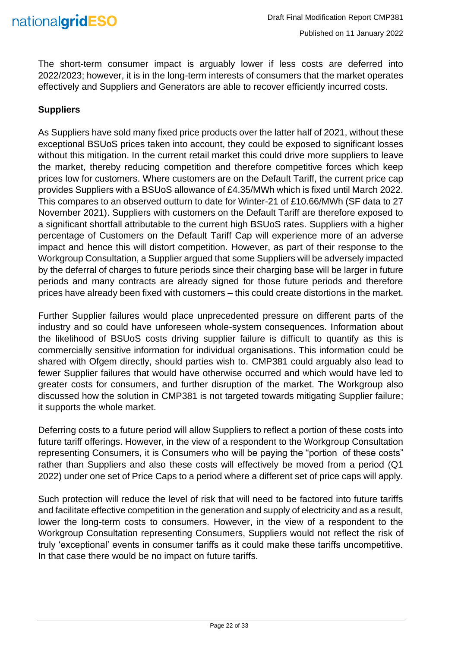

The short-term consumer impact is arguably lower if less costs are deferred into 2022/2023; however, it is in the long-term interests of consumers that the market operates effectively and Suppliers and Generators are able to recover efficiently incurred costs.

#### **Suppliers**

As Suppliers have sold many fixed price products over the latter half of 2021, without these exceptional BSUoS prices taken into account, they could be exposed to significant losses without this mitigation. In the current retail market this could drive more suppliers to leave the market, thereby reducing competition and therefore competitive forces which keep prices low for customers. Where customers are on the Default Tariff, the current price cap provides Suppliers with a BSUoS allowance of £4.35/MWh which is fixed until March 2022. This compares to an observed outturn to date for Winter-21 of £10.66/MWh (SF data to 27 November 2021). Suppliers with customers on the Default Tariff are therefore exposed to a significant shortfall attributable to the current high BSUoS rates. Suppliers with a higher percentage of Customers on the Default Tariff Cap will experience more of an adverse impact and hence this will distort competition. However, as part of their response to the Workgroup Consultation, a Supplier argued that some Suppliers will be adversely impacted by the deferral of charges to future periods since their charging base will be larger in future periods and many contracts are already signed for those future periods and therefore prices have already been fixed with customers – this could create distortions in the market.

Further Supplier failures would place unprecedented pressure on different parts of the industry and so could have unforeseen whole-system consequences. Information about the likelihood of BSUoS costs driving supplier failure is difficult to quantify as this is commercially sensitive information for individual organisations. This information could be shared with Ofgem directly, should parties wish to. CMP381 could arguably also lead to fewer Supplier failures that would have otherwise occurred and which would have led to greater costs for consumers, and further disruption of the market. The Workgroup also discussed how the solution in CMP381 is not targeted towards mitigating Supplier failure; it supports the whole market.

Deferring costs to a future period will allow Suppliers to reflect a portion of these costs into future tariff offerings. However, in the view of a respondent to the Workgroup Consultation representing Consumers, it is Consumers who will be paying the "portion of these costs" rather than Suppliers and also these costs will effectively be moved from a period (Q1 2022) under one set of Price Caps to a period where a different set of price caps will apply.

Such protection will reduce the level of risk that will need to be factored into future tariffs and facilitate effective competition in the generation and supply of electricity and as a result, lower the long-term costs to consumers. However, in the view of a respondent to the Workgroup Consultation representing Consumers, Suppliers would not reflect the risk of truly 'exceptional' events in consumer tariffs as it could make these tariffs uncompetitive. In that case there would be no impact on future tariffs.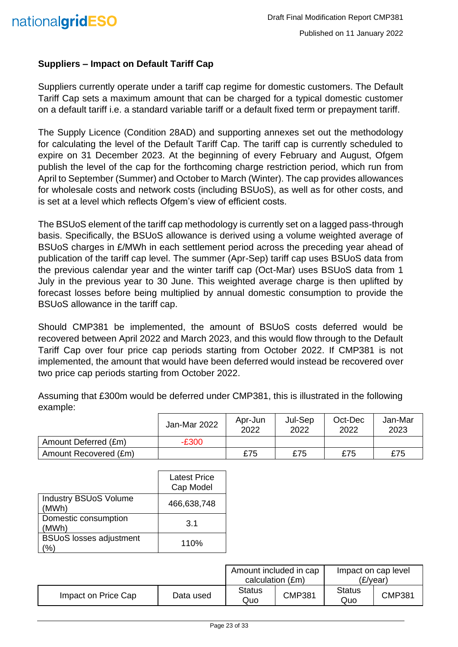#### **Suppliers – Impact on Default Tariff Cap**

Suppliers currently operate under a tariff cap regime for domestic customers. The Default Tariff Cap sets a maximum amount that can be charged for a typical domestic customer on a default tariff i.e. a standard variable tariff or a default fixed term or prepayment tariff.

The Supply Licence (Condition 28AD) and supporting annexes set out the methodology for calculating the level of the Default Tariff Cap. The tariff cap is currently scheduled to expire on 31 December 2023. At the beginning of every February and August, Ofgem publish the level of the cap for the forthcoming charge restriction period, which run from April to September (Summer) and October to March (Winter). The cap provides allowances for wholesale costs and network costs (including BSUoS), as well as for other costs, and is set at a level which reflects Ofgem's view of efficient costs.

The BSUoS element of the tariff cap methodology is currently set on a lagged pass-through basis. Specifically, the BSUoS allowance is derived using a volume weighted average of BSUoS charges in £/MWh in each settlement period across the preceding year ahead of publication of the tariff cap level. The summer (Apr-Sep) tariff cap uses BSUoS data from the previous calendar year and the winter tariff cap (Oct-Mar) uses BSUoS data from 1 July in the previous year to 30 June. This weighted average charge is then uplifted by forecast losses before being multiplied by annual domestic consumption to provide the BSUoS allowance in the tariff cap.

Should CMP381 be implemented, the amount of BSUoS costs deferred would be recovered between April 2022 and March 2023, and this would flow through to the Default Tariff Cap over four price cap periods starting from October 2022. If CMP381 is not implemented, the amount that would have been deferred would instead be recovered over two price cap periods starting from October 2022.

Assuming that £300m would be deferred under CMP381, this is illustrated in the following example:

|                       | Jan-Mar 2022 | Apr-Jun<br>2022 | Jul-Sep<br>2022 | Oct-Dec<br>2022 | Jan-Mar<br>2023 |
|-----------------------|--------------|-----------------|-----------------|-----------------|-----------------|
| Amount Deferred (£m)  | $-E300$      |                 |                 |                 |                 |
| Amount Recovered (£m) |              | £75             | £75             | £75             | £75             |

|                                       | <b>Latest Price</b><br>Cap Model |
|---------------------------------------|----------------------------------|
| <b>Industry BSUoS Volume</b><br>(MWh) | 466,638,748                      |
| Domestic consumption<br>(MWh)         | 3.1                              |
| <b>BSUoS</b> losses adjustment        | 110%                             |

|                     |           | Amount included in cap<br>calculation (£m) |               |                      | Impact on cap level<br>(£/vear) |
|---------------------|-----------|--------------------------------------------|---------------|----------------------|---------------------------------|
| Impact on Price Cap | Data used | <b>Status</b><br>Quo                       | <b>CMP381</b> | <b>Status</b><br>Quo | <b>CMP381</b>                   |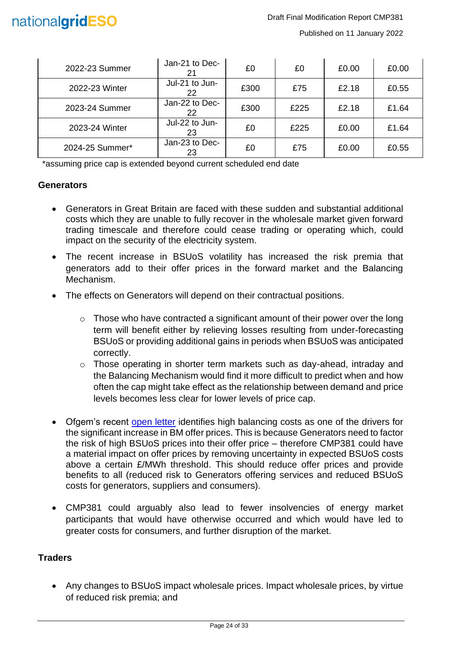| 2022-23 Summer  | Jan-21 to Dec-       | £0   | £0   | £0.00 | £0.00 |
|-----------------|----------------------|------|------|-------|-------|
| 2022-23 Winter  | Jul-21 to Jun-<br>22 | £300 | £75  | £2.18 | £0.55 |
| 2023-24 Summer  | Jan-22 to Dec-<br>22 | £300 | £225 | £2.18 | £1.64 |
| 2023-24 Winter  | Jul-22 to Jun-<br>23 | £0   | £225 | £0.00 | £1.64 |
| 2024-25 Summer* | Jan-23 to Dec-<br>23 | £0   | £75  | £0.00 | £0.55 |

\*assuming price cap is extended beyond current scheduled end date

#### **Generators**

- Generators in Great Britain are faced with these sudden and substantial additional costs which they are unable to fully recover in the wholesale market given forward trading timescale and therefore could cease trading or operating which, could impact on the security of the electricity system.
- The recent increase in BSUoS volatility has increased the risk premia that generators add to their offer prices in the forward market and the Balancing Mechanism.
- The effects on Generators will depend on their contractual positions.
	- $\circ$  Those who have contracted a significant amount of their power over the long term will benefit either by relieving losses resulting from under-forecasting BSUoS or providing additional gains in periods when BSUoS was anticipated correctly.
	- o Those operating in shorter term markets such as day-ahead, intraday and the Balancing Mechanism would find it more difficult to predict when and how often the cap might take effect as the relationship between demand and price levels becomes less clear for lower levels of price cap.
- Ofgem's recent [open letter](https://www.ofgem.gov.uk/publications/open-letter-trends-balancing-costs-2021) identifies high balancing costs as one of the drivers for the significant increase in BM offer prices. This is because Generators need to factor the risk of high BSUoS prices into their offer price – therefore CMP381 could have a material impact on offer prices by removing uncertainty in expected BSUoS costs above a certain £/MWh threshold. This should reduce offer prices and provide benefits to all (reduced risk to Generators offering services and reduced BSUoS costs for generators, suppliers and consumers).
- CMP381 could arguably also lead to fewer insolvencies of energy market participants that would have otherwise occurred and which would have led to greater costs for consumers, and further disruption of the market.

#### **Traders**

• Any changes to BSUoS impact wholesale prices. Impact wholesale prices, by virtue of reduced risk premia; and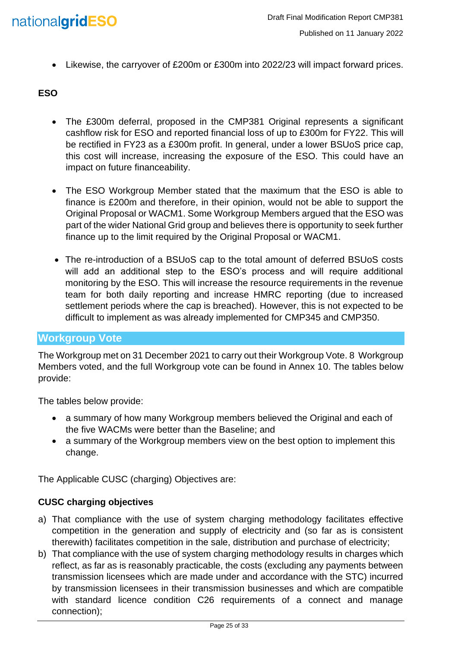

• Likewise, the carryover of £200m or £300m into 2022/23 will impact forward prices.

#### **ESO**

- The £300m deferral, proposed in the CMP381 Original represents a significant cashflow risk for ESO and reported financial loss of up to £300m for FY22. This will be rectified in FY23 as a £300m profit. In general, under a lower BSUoS price cap, this cost will increase, increasing the exposure of the ESO. This could have an impact on future financeability.
- The ESO Workgroup Member stated that the maximum that the ESO is able to finance is £200m and therefore, in their opinion, would not be able to support the Original Proposal or WACM1. Some Workgroup Members argued that the ESO was part of the wider National Grid group and believes there is opportunity to seek further finance up to the limit required by the Original Proposal or WACM1.
- The re-introduction of a BSUoS cap to the total amount of deferred BSUoS costs will add an additional step to the ESO's process and will require additional monitoring by the ESO. This will increase the resource requirements in the revenue team for both daily reporting and increase HMRC reporting (due to increased settlement periods where the cap is breached). However, this is not expected to be difficult to implement as was already implemented for CMP345 and CMP350.

#### <span id="page-24-0"></span>**Workgroup Vote**

The Workgroup met on 31 December 2021 to carry out their Workgroup Vote. 8 Workgroup Members voted, and the full Workgroup vote can be found in Annex 10. The tables below provide:

The tables below provide:

- a summary of how many Workgroup members believed the Original and each of the five WACMs were better than the Baseline; and
- a summary of the Workgroup members view on the best option to implement this change.

The Applicable CUSC (charging) Objectives are:

#### **CUSC charging objectives**

- a) That compliance with the use of system charging methodology facilitates effective competition in the generation and supply of electricity and (so far as is consistent therewith) facilitates competition in the sale, distribution and purchase of electricity;
- b) That compliance with the use of system charging methodology results in charges which reflect, as far as is reasonably practicable, the costs (excluding any payments between transmission licensees which are made under and accordance with the STC) incurred by transmission licensees in their transmission businesses and which are compatible with standard licence condition C26 requirements of a connect and manage connection);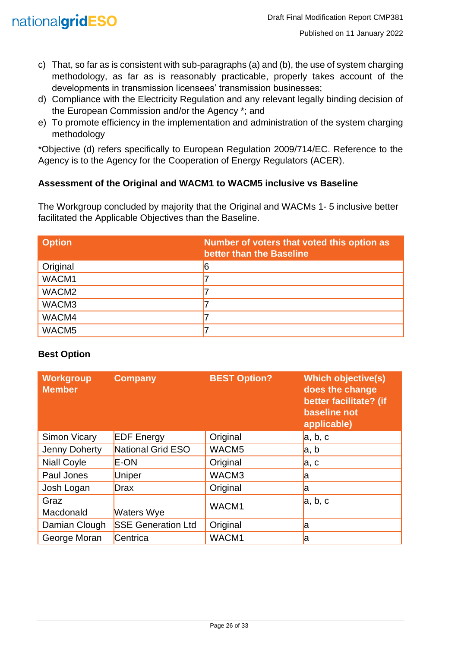

- c) That, so far as is consistent with sub-paragraphs (a) and (b), the use of system charging methodology, as far as is reasonably practicable, properly takes account of the developments in transmission licensees' transmission businesses;
- d) Compliance with the Electricity Regulation and any relevant legally binding decision of the European Commission and/or the Agency \*; and
- e) To promote efficiency in the implementation and administration of the system charging methodology

\*Objective (d) refers specifically to European Regulation 2009/714/EC. Reference to the Agency is to the Agency for the Cooperation of Energy Regulators (ACER).

#### **Assessment of the Original and WACM1 to WACM5 inclusive vs Baseline**

The Workgroup concluded by majority that the Original and WACMs 1- 5 inclusive better facilitated the Applicable Objectives than the Baseline.

| <b>Option</b>     | Number of voters that voted this option as<br>better than the Baseline |
|-------------------|------------------------------------------------------------------------|
| Original          |                                                                        |
| WACM1             |                                                                        |
| WACM <sub>2</sub> |                                                                        |
| WACM3             |                                                                        |
| WACM4             |                                                                        |
| WACM <sub>5</sub> |                                                                        |

#### **Best Option**

| Workgroup<br><b>Member</b> | <b>Company</b>            | <b>BEST Option?</b> | <b>Which objective(s)</b><br>does the change<br>better facilitate? (if<br>baseline not<br>applicable) |
|----------------------------|---------------------------|---------------------|-------------------------------------------------------------------------------------------------------|
| <b>Simon Vicary</b>        | <b>EDF</b> Energy         | Original            | a, b, c                                                                                               |
| Jenny Doherty              | National Grid ESO         | WACM5               | a, b                                                                                                  |
| <b>Niall Coyle</b>         | <b>E-ON</b>               | Original            | a, c                                                                                                  |
| Paul Jones                 | Uniper                    | WACM3               | a                                                                                                     |
| Josh Logan                 | <b>Drax</b>               | Original            | la                                                                                                    |
| Graz<br>Macdonald          | <b>Waters Wye</b>         | WACM1               | a, b, c                                                                                               |
| Damian Clough              | <b>SSE Generation Ltd</b> | Original            | a                                                                                                     |
| George Moran               | Centrica                  | WACM1               | a                                                                                                     |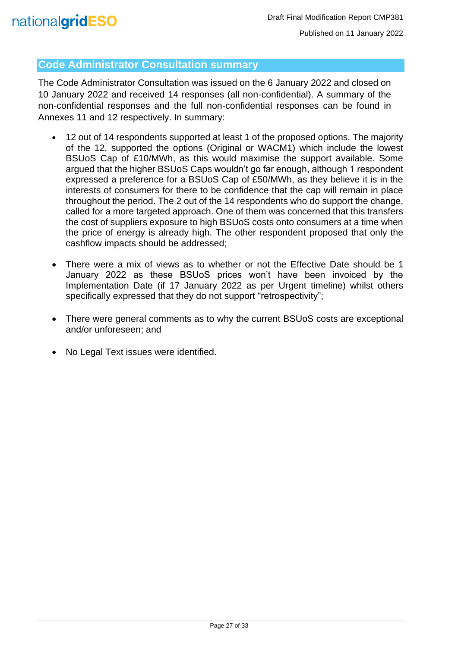#### <span id="page-26-0"></span>**Code Administrator Consultation summary**

The Code Administrator Consultation was issued on the 6 January 2022 and closed on 10 January 2022 and received 14 responses (all non-confidential). A summary of the non-confidential responses and the full non-confidential responses can be found in Annexes 11 and 12 respectively. In summary:

- 12 out of 14 respondents supported at least 1 of the proposed options. The majority of the 12, supported the options (Original or WACM1) which include the lowest BSUoS Cap of £10/MWh, as this would maximise the support available. Some argued that the higher BSUoS Caps wouldn't go far enough, although 1 respondent expressed a preference for a BSUoS Cap of £50/MWh, as they believe it is in the interests of consumers for there to be confidence that the cap will remain in place throughout the period. The 2 out of the 14 respondents who do support the change, called for a more targeted approach. One of them was concerned that this transfers the cost of suppliers exposure to high BSUoS costs onto consumers at a time when the price of energy is already high. The other respondent proposed that only the cashflow impacts should be addressed;
- There were a mix of views as to whether or not the Effective Date should be 1 January 2022 as these BSUoS prices won't have been invoiced by the Implementation Date (if 17 January 2022 as per Urgent timeline) whilst others specifically expressed that they do not support "retrospectivity";
- There were general comments as to why the current BSUoS costs are exceptional and/or unforeseen; and
- No Legal Text issues were identified.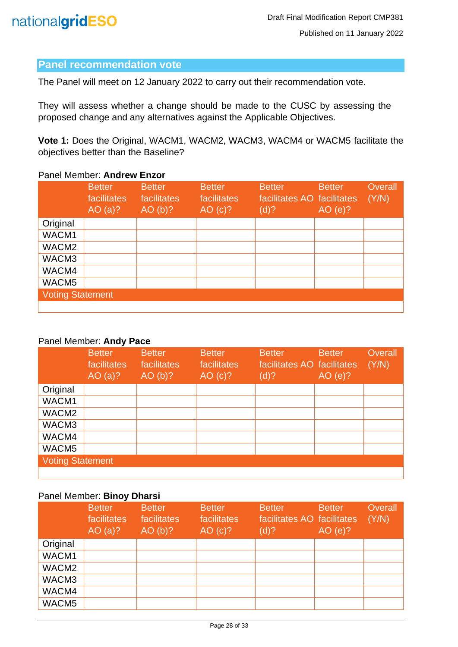#### <span id="page-27-0"></span>**Panel recommendation vote**

The Panel will meet on 12 January 2022 to carry out their recommendation vote.

They will assess whether a change should be made to the CUSC by assessing the proposed change and any alternatives against the Applicable Objectives.

**Vote 1:** Does the Original, WACM1, WACM2, WACM3, WACM4 or WACM5 facilitate the objectives better than the Baseline?

#### Panel Member: **Andrew Enzor**

|                         | <b>Better</b><br>facilitates<br>AO $(a)?$ | <b>Better</b><br>facilitates<br>AO(b)? | <b>Better</b><br>facilitates<br>AO (c)? | <b>Better</b><br>facilitates AO facilitates<br>(d)? | <b>Better</b><br>AO(e)? | Overall<br>(Y/N) |
|-------------------------|-------------------------------------------|----------------------------------------|-----------------------------------------|-----------------------------------------------------|-------------------------|------------------|
| Original                |                                           |                                        |                                         |                                                     |                         |                  |
| WACM1                   |                                           |                                        |                                         |                                                     |                         |                  |
| WACM <sub>2</sub>       |                                           |                                        |                                         |                                                     |                         |                  |
| WACM3                   |                                           |                                        |                                         |                                                     |                         |                  |
| WACM4                   |                                           |                                        |                                         |                                                     |                         |                  |
| WACM5                   |                                           |                                        |                                         |                                                     |                         |                  |
| <b>Voting Statement</b> |                                           |                                        |                                         |                                                     |                         |                  |
|                         |                                           |                                        |                                         |                                                     |                         |                  |

#### Panel Member: **Andy Pace**

|                         | <b>Better</b><br>facilitates<br>AO $(a)?$ | <b>Better</b><br>facilitates<br>AO(b)? | <b>Better</b><br>facilitates<br>AO (c)? | <b>Better</b><br>facilitates AO facilitates<br>(d)? | <b>Better</b><br>AO(e)? | Overall<br>(Y/N) |
|-------------------------|-------------------------------------------|----------------------------------------|-----------------------------------------|-----------------------------------------------------|-------------------------|------------------|
| Original                |                                           |                                        |                                         |                                                     |                         |                  |
| WACM1                   |                                           |                                        |                                         |                                                     |                         |                  |
| WACM <sub>2</sub>       |                                           |                                        |                                         |                                                     |                         |                  |
| WACM3                   |                                           |                                        |                                         |                                                     |                         |                  |
| WACM4                   |                                           |                                        |                                         |                                                     |                         |                  |
| WACM5                   |                                           |                                        |                                         |                                                     |                         |                  |
| <b>Voting Statement</b> |                                           |                                        |                                         |                                                     |                         |                  |
|                         |                                           |                                        |                                         |                                                     |                         |                  |

#### Panel Member: **Binoy Dharsi**

|                   | <b>Better</b><br>facilitates<br>AO $(a)?$ | <b>Better</b><br>facilitates<br>AO(b)? | <b>Better</b><br>facilitates<br>AO (c)? | <b>Better</b><br>facilitates AO facilitates<br>(d)? | <b>Better</b><br>AO(e)? | Overall<br>(Y/N) |
|-------------------|-------------------------------------------|----------------------------------------|-----------------------------------------|-----------------------------------------------------|-------------------------|------------------|
| Original          |                                           |                                        |                                         |                                                     |                         |                  |
| WACM1             |                                           |                                        |                                         |                                                     |                         |                  |
| WACM <sub>2</sub> |                                           |                                        |                                         |                                                     |                         |                  |
| WACM3             |                                           |                                        |                                         |                                                     |                         |                  |
| WACM4             |                                           |                                        |                                         |                                                     |                         |                  |
| WACM5             |                                           |                                        |                                         |                                                     |                         |                  |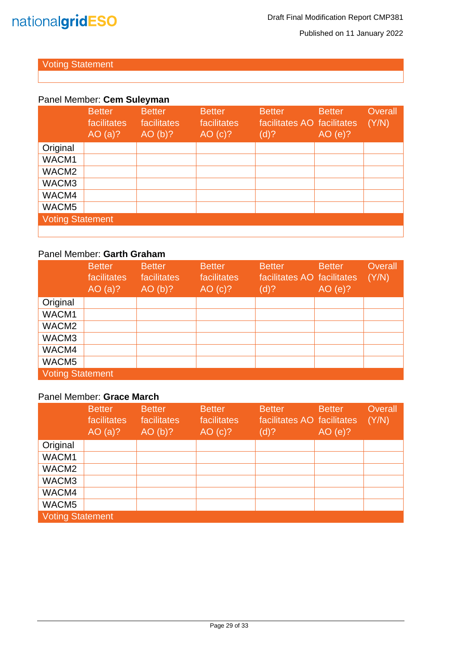

Published on 11 January 2022

#### Voting Statement

#### Panel Member: **Cem Suleyman**

|                         | <b>Better</b><br>facilitates<br>AO $(a)?$ | <b>Better</b><br>facilitates<br>AO(b)? | <b>Better</b><br>facilitates<br>AO (c)? | <b>Better</b><br>facilitates AO facilitates<br>(d)? | <b>Better</b><br>AO(e)? | Overall<br>(Y/N) |
|-------------------------|-------------------------------------------|----------------------------------------|-----------------------------------------|-----------------------------------------------------|-------------------------|------------------|
| Original                |                                           |                                        |                                         |                                                     |                         |                  |
| WACM1                   |                                           |                                        |                                         |                                                     |                         |                  |
| WACM <sub>2</sub>       |                                           |                                        |                                         |                                                     |                         |                  |
| WACM3                   |                                           |                                        |                                         |                                                     |                         |                  |
| WACM4                   |                                           |                                        |                                         |                                                     |                         |                  |
| WACM5                   |                                           |                                        |                                         |                                                     |                         |                  |
| <b>Voting Statement</b> |                                           |                                        |                                         |                                                     |                         |                  |
|                         |                                           |                                        |                                         |                                                     |                         |                  |

#### Panel Member: **Garth Graham**

|                         | <b>Better</b><br>facilitates<br>AO $(a)?$ | <b>Better</b><br>facilitates<br>AO(b)? | <b>Better</b><br>facilitates<br>AO (c)? | <b>Better</b><br>facilitates AO facilitates<br>(d)? | <b>Better</b><br>AO(e)? | Overall<br>(Y/N) |
|-------------------------|-------------------------------------------|----------------------------------------|-----------------------------------------|-----------------------------------------------------|-------------------------|------------------|
| Original                |                                           |                                        |                                         |                                                     |                         |                  |
| WACM1                   |                                           |                                        |                                         |                                                     |                         |                  |
| WACM <sub>2</sub>       |                                           |                                        |                                         |                                                     |                         |                  |
| WACM3                   |                                           |                                        |                                         |                                                     |                         |                  |
| WACM4                   |                                           |                                        |                                         |                                                     |                         |                  |
| WACM5                   |                                           |                                        |                                         |                                                     |                         |                  |
| <b>Voting Statement</b> |                                           |                                        |                                         |                                                     |                         |                  |

#### Panel Member: **Grace March**

|                         | <b>Better</b><br>facilitates<br>AO $(a)?$ | <b>Better</b><br>facilitates<br>AO(b)? | <b>Better</b><br>facilitates<br>AO (c)? | <b>Better</b><br>facilitates AO facilitates<br>(d)? | <b>Better</b><br>AO(e)? | Overall<br>(Y/N) |
|-------------------------|-------------------------------------------|----------------------------------------|-----------------------------------------|-----------------------------------------------------|-------------------------|------------------|
| Original                |                                           |                                        |                                         |                                                     |                         |                  |
| WACM1                   |                                           |                                        |                                         |                                                     |                         |                  |
| WACM <sub>2</sub>       |                                           |                                        |                                         |                                                     |                         |                  |
| WACM3                   |                                           |                                        |                                         |                                                     |                         |                  |
| WACM4                   |                                           |                                        |                                         |                                                     |                         |                  |
| WACM5                   |                                           |                                        |                                         |                                                     |                         |                  |
| <b>Voting Statement</b> |                                           |                                        |                                         |                                                     |                         |                  |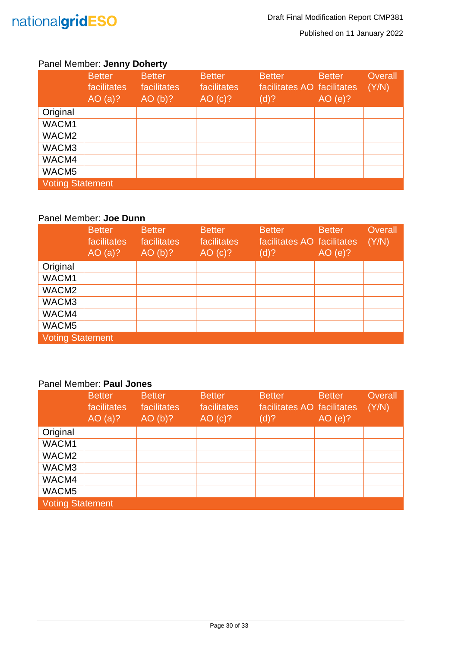

#### Panel Member: **Jenny Doherty**

|                         | <b>Better</b><br>facilitates<br>AO $(a)?$ | <b>Better</b><br>facilitates<br>AO(b)? | <b>Better</b><br>facilitates<br>AO (c)? | <b>Better</b><br>facilitates AO facilitates<br>(d)? | <b>Better</b><br>AO(e)? | Overall<br>(Y/N) |
|-------------------------|-------------------------------------------|----------------------------------------|-----------------------------------------|-----------------------------------------------------|-------------------------|------------------|
| Original                |                                           |                                        |                                         |                                                     |                         |                  |
| WACM1                   |                                           |                                        |                                         |                                                     |                         |                  |
| WACM <sub>2</sub>       |                                           |                                        |                                         |                                                     |                         |                  |
| WACM3                   |                                           |                                        |                                         |                                                     |                         |                  |
| WACM4                   |                                           |                                        |                                         |                                                     |                         |                  |
| WACM5                   |                                           |                                        |                                         |                                                     |                         |                  |
| <b>Voting Statement</b> |                                           |                                        |                                         |                                                     |                         |                  |

#### Panel Member: **Joe Dunn**

|                         | <b>Better</b><br>facilitates<br>AO $(a)?$ | <b>Better</b><br>facilitates<br>AO(b)? | <b>Better</b><br>facilitates<br>AO (c)? | <b>Better</b><br>facilitates AO facilitates<br>(d)? | <b>Better</b><br>AO(e)? | <b>Overall</b><br>(Y/N) |
|-------------------------|-------------------------------------------|----------------------------------------|-----------------------------------------|-----------------------------------------------------|-------------------------|-------------------------|
| Original                |                                           |                                        |                                         |                                                     |                         |                         |
| WACM1                   |                                           |                                        |                                         |                                                     |                         |                         |
| WACM <sub>2</sub>       |                                           |                                        |                                         |                                                     |                         |                         |
| WACM3                   |                                           |                                        |                                         |                                                     |                         |                         |
| WACM4                   |                                           |                                        |                                         |                                                     |                         |                         |
| WACM <sub>5</sub>       |                                           |                                        |                                         |                                                     |                         |                         |
| <b>Voting Statement</b> |                                           |                                        |                                         |                                                     |                         |                         |

#### Panel Member: **Paul Jones**

|                         | <b>Better</b><br>facilitates<br>AO $(a)?$ | <b>Better</b><br>facilitates<br>AO(b)? | <b>Better</b><br>facilitates<br>AO (c)? | <b>Better</b><br>facilitates AO facilitates<br>(d)? | <b>Better</b><br>AO(e)? | Overall<br>(Y/N) |
|-------------------------|-------------------------------------------|----------------------------------------|-----------------------------------------|-----------------------------------------------------|-------------------------|------------------|
| Original                |                                           |                                        |                                         |                                                     |                         |                  |
| WACM1                   |                                           |                                        |                                         |                                                     |                         |                  |
| WACM <sub>2</sub>       |                                           |                                        |                                         |                                                     |                         |                  |
| WACM3                   |                                           |                                        |                                         |                                                     |                         |                  |
| WACM4                   |                                           |                                        |                                         |                                                     |                         |                  |
| WACM <sub>5</sub>       |                                           |                                        |                                         |                                                     |                         |                  |
| <b>Voting Statement</b> |                                           |                                        |                                         |                                                     |                         |                  |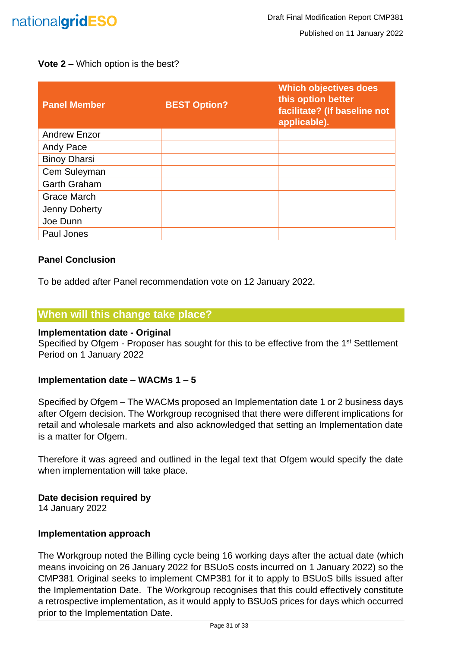

#### **Vote 2 –** Which option is the best?

| <b>Panel Member</b> | <b>BEST Option?</b> | <b>Which objectives does</b><br>this option better<br>facilitate? (If baseline not<br>applicable). |
|---------------------|---------------------|----------------------------------------------------------------------------------------------------|
| <b>Andrew Enzor</b> |                     |                                                                                                    |
| Andy Pace           |                     |                                                                                                    |
| <b>Binoy Dharsi</b> |                     |                                                                                                    |
| Cem Suleyman        |                     |                                                                                                    |
| <b>Garth Graham</b> |                     |                                                                                                    |
| <b>Grace March</b>  |                     |                                                                                                    |
| Jenny Doherty       |                     |                                                                                                    |
| Joe Dunn            |                     |                                                                                                    |
| Paul Jones          |                     |                                                                                                    |

#### <span id="page-30-0"></span>**Panel Conclusion**

To be added after Panel recommendation vote on 12 January 2022.

#### <span id="page-30-1"></span>**When will this change take place?**

#### <span id="page-30-2"></span>**Implementation date - Original**

Specified by Ofgem - Proposer has sought for this to be effective from the 1<sup>st</sup> Settlement Period on 1 January 2022

#### <span id="page-30-3"></span>**Implementation date – WACMs 1 – 5**

Specified by Ofgem – The WACMs proposed an Implementation date 1 or 2 business days after Ofgem decision. The Workgroup recognised that there were different implications for retail and wholesale markets and also acknowledged that setting an Implementation date is a matter for Ofgem.

Therefore it was agreed and outlined in the legal text that Ofgem would specify the date when implementation will take place.

#### <span id="page-30-4"></span>**Date decision required by**

14 January 2022

#### <span id="page-30-5"></span>**Implementation approach**

The Workgroup noted the Billing cycle being 16 working days after the actual date (which means invoicing on 26 January 2022 for BSUoS costs incurred on 1 January 2022) so the CMP381 Original seeks to implement CMP381 for it to apply to BSUoS bills issued after the Implementation Date. The Workgroup recognises that this could effectively constitute a retrospective implementation, as it would apply to BSUoS prices for days which occurred prior to the Implementation Date.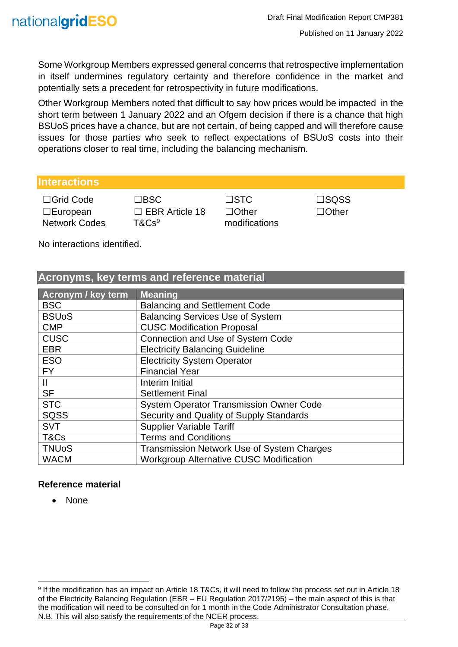Some Workgroup Members expressed general concerns that retrospective implementation in itself undermines regulatory certainty and therefore confidence in the market and potentially sets a precedent for retrospectivity in future modifications.

Other Workgroup Members noted that difficult to say how prices would be impacted in the short term between 1 January 2022 and an Ofgem decision if there is a chance that high BSUoS prices have a chance, but are not certain, of being capped and will therefore cause issues for those parties who seek to reflect expectations of BSUoS costs into their operations closer to real time, including the balancing mechanism.

#### <span id="page-31-0"></span>**Interactions**

☐Grid Code ☐BSC ☐STC ☐SQSS ☐European Network Codes

□ EBR Article 18 T&Cs<sup>9</sup>

☐Other modifications ☐Other

No interactions identified.

#### <span id="page-31-1"></span>**Acronyms, key terms and reference material**

| <b>Acronym / key term</b> | <b>Meaning</b>                                    |
|---------------------------|---------------------------------------------------|
| <b>BSC</b>                | <b>Balancing and Settlement Code</b>              |
| <b>BSUoS</b>              | <b>Balancing Services Use of System</b>           |
| <b>CMP</b>                | <b>CUSC Modification Proposal</b>                 |
| <b>CUSC</b>               | <b>Connection and Use of System Code</b>          |
| <b>EBR</b>                | <b>Electricity Balancing Guideline</b>            |
| <b>ESO</b>                | <b>Electricity System Operator</b>                |
| <b>FY</b>                 | <b>Financial Year</b>                             |
| $\mathbf{II}$             | Interim Initial                                   |
| <b>SF</b>                 | <b>Settlement Final</b>                           |
| <b>STC</b>                | <b>System Operator Transmission Owner Code</b>    |
| <b>SQSS</b>               | Security and Quality of Supply Standards          |
| <b>SVT</b>                | <b>Supplier Variable Tariff</b>                   |
| T&Cs                      | <b>Terms and Conditions</b>                       |
| <b>TNUoS</b>              | <b>Transmission Network Use of System Charges</b> |
| <b>WACM</b>               | <b>Workgroup Alternative CUSC Modification</b>    |

#### <span id="page-31-2"></span>**Reference material**

• None

<sup>9</sup> If the modification has an impact on Article 18 T&Cs, it will need to follow the process set out in Article 18 of the Electricity Balancing Regulation (EBR – EU Regulation 2017/2195) – the main aspect of this is that the modification will need to be consulted on for 1 month in the Code Administrator Consultation phase. N.B. This will also satisfy the requirements of the NCER process.